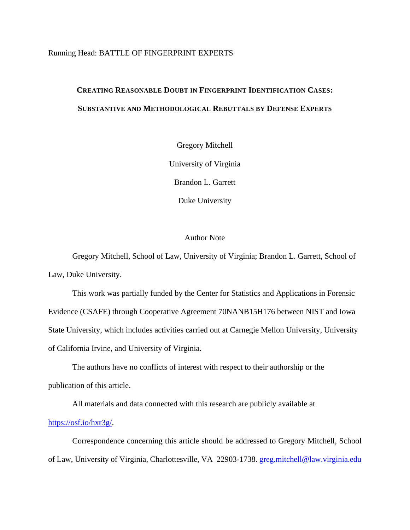# Running Head: BATTLE OF FINGERPRINT EXPERTS

# **CREATING REASONABLE DOUBT IN FINGERPRINT IDENTIFICATION CASES: SUBSTANTIVE AND METHODOLOGICAL REBUTTALS BY DEFENSE EXPERTS**

Gregory Mitchell

University of Virginia

Brandon L. Garrett

Duke University

# Author Note

Gregory Mitchell, School of Law, University of Virginia; Brandon L. Garrett, School of Law, Duke University.

This work was partially funded by the Center for Statistics and Applications in Forensic Evidence (CSAFE) through Cooperative Agreement 70NANB15H176 between NIST and Iowa State University, which includes activities carried out at Carnegie Mellon University, University of California Irvine, and University of Virginia.

The authors have no conflicts of interest with respect to their authorship or the publication of this article.

All materials and data connected with this research are publicly available at [https://osf.io/hxr3g/.](https://osf.io/hxr3g/)

Correspondence concerning this article should be addressed to Gregory Mitchell, School of Law, University of Virginia, Charlottesville, VA 22903-1738. [greg.mitchell@law.virginia.edu](mailto:greg.mitchell@law.virginia.edu)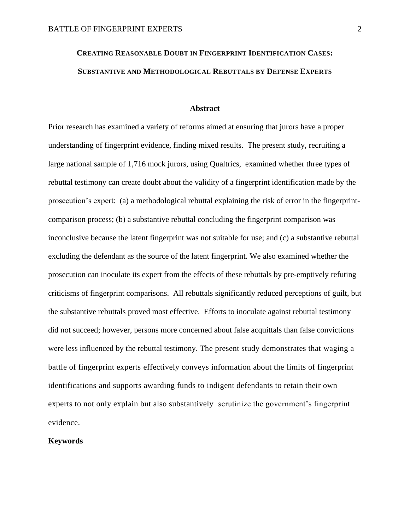# **CREATING REASONABLE DOUBT IN FINGERPRINT IDENTIFICATION CASES: SUBSTANTIVE AND METHODOLOGICAL REBUTTALS BY DEFENSE EXPERTS**

#### **Abstract**

Prior research has examined a variety of reforms aimed at ensuring that jurors have a proper understanding of fingerprint evidence, finding mixed results. The present study, recruiting a large national sample of 1,716 mock jurors, using Qualtrics, examined whether three types of rebuttal testimony can create doubt about the validity of a fingerprint identification made by the prosecution's expert: (a) a methodological rebuttal explaining the risk of error in the fingerprintcomparison process; (b) a substantive rebuttal concluding the fingerprint comparison was inconclusive because the latent fingerprint was not suitable for use; and (c) a substantive rebuttal excluding the defendant as the source of the latent fingerprint. We also examined whether the prosecution can inoculate its expert from the effects of these rebuttals by pre-emptively refuting criticisms of fingerprint comparisons. All rebuttals significantly reduced perceptions of guilt, but the substantive rebuttals proved most effective. Efforts to inoculate against rebuttal testimony did not succeed; however, persons more concerned about false acquittals than false convictions were less influenced by the rebuttal testimony. The present study demonstrates that waging a battle of fingerprint experts effectively conveys information about the limits of fingerprint identifications and supports awarding funds to indigent defendants to retain their own experts to not only explain but also substantively scrutinize the government's fingerprint evidence.

# **Keywords**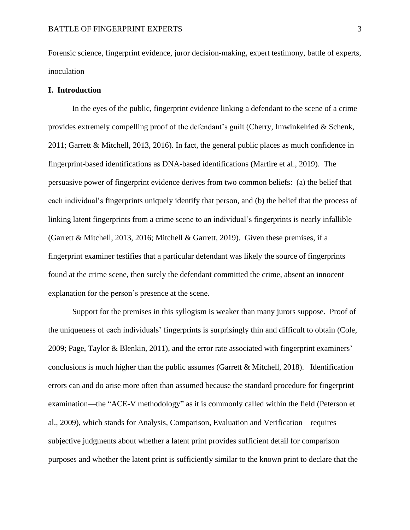Forensic science, fingerprint evidence, juror decision-making, expert testimony, battle of experts, inoculation

## **I. Introduction**

In the eyes of the public, fingerprint evidence linking a defendant to the scene of a crime provides extremely compelling proof of the defendant's guilt (Cherry, Imwinkelried & Schenk, 2011; Garrett & Mitchell, 2013, 2016). In fact, the general public places as much confidence in fingerprint-based identifications as DNA-based identifications (Martire et al., 2019). The persuasive power of fingerprint evidence derives from two common beliefs: (a) the belief that each individual's fingerprints uniquely identify that person, and (b) the belief that the process of linking latent fingerprints from a crime scene to an individual's fingerprints is nearly infallible (Garrett & Mitchell, 2013, 2016; Mitchell & Garrett, 2019). Given these premises, if a fingerprint examiner testifies that a particular defendant was likely the source of fingerprints found at the crime scene, then surely the defendant committed the crime, absent an innocent explanation for the person's presence at the scene.

Support for the premises in this syllogism is weaker than many jurors suppose. Proof of the uniqueness of each individuals' fingerprints is surprisingly thin and difficult to obtain (Cole, 2009; Page, Taylor & Blenkin, 2011), and the error rate associated with fingerprint examiners' conclusions is much higher than the public assumes (Garrett & Mitchell, 2018). Identification errors can and do arise more often than assumed because the standard procedure for fingerprint examination—the "ACE-V methodology" as it is commonly called within the field (Peterson et al., 2009), which stands for Analysis, Comparison, Evaluation and Verification—requires subjective judgments about whether a latent print provides sufficient detail for comparison purposes and whether the latent print is sufficiently similar to the known print to declare that the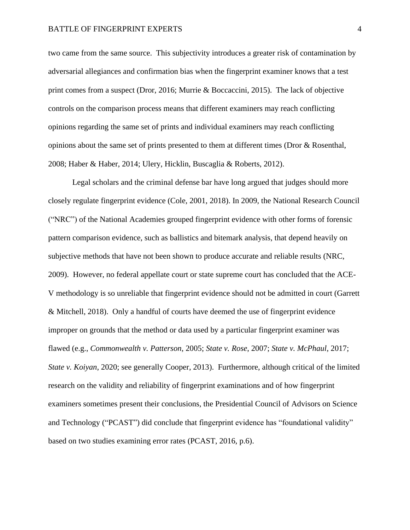two came from the same source. This subjectivity introduces a greater risk of contamination by adversarial allegiances and confirmation bias when the fingerprint examiner knows that a test print comes from a suspect (Dror, 2016; Murrie & Boccaccini, 2015). The lack of objective controls on the comparison process means that different examiners may reach conflicting opinions regarding the same set of prints and individual examiners may reach conflicting opinions about the same set of prints presented to them at different times (Dror & Rosenthal, 2008; Haber & Haber, 2014; Ulery, Hicklin, Buscaglia & Roberts, 2012).

Legal scholars and the criminal defense bar have long argued that judges should more closely regulate fingerprint evidence (Cole, 2001, 2018). In 2009, the National Research Council ("NRC") of the National Academies grouped fingerprint evidence with other forms of forensic pattern comparison evidence, such as ballistics and bitemark analysis, that depend heavily on subjective methods that have not been shown to produce accurate and reliable results (NRC, 2009). However, no federal appellate court or state supreme court has concluded that the ACE-V methodology is so unreliable that fingerprint evidence should not be admitted in court (Garrett & Mitchell, 2018). Only a handful of courts have deemed the use of fingerprint evidence improper on grounds that the method or data used by a particular fingerprint examiner was flawed (e.g., *Commonwealth v. Patterson*, 2005; *State v. Rose*, 2007; *State v. McPhaul*, 2017; *State v. Koiyan*, 2020; see generally Cooper, 2013). Furthermore, although critical of the limited research on the validity and reliability of fingerprint examinations and of how fingerprint examiners sometimes present their conclusions, the Presidential Council of Advisors on Science and Technology ("PCAST") did conclude that fingerprint evidence has "foundational validity" based on two studies examining error rates (PCAST, 2016, p.6).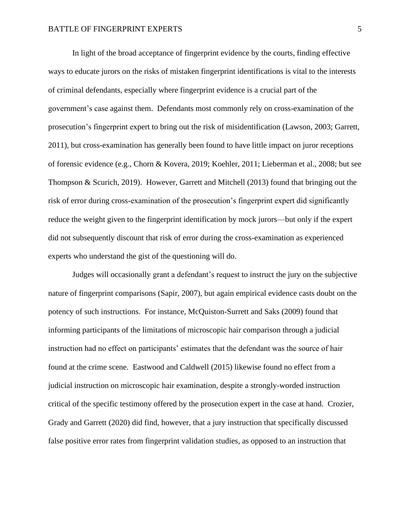## BATTLE OF FINGERPRINT EXPERTS **FINGER**

In light of the broad acceptance of fingerprint evidence by the courts, finding effective ways to educate jurors on the risks of mistaken fingerprint identifications is vital to the interests of criminal defendants, especially where fingerprint evidence is a crucial part of the government's case against them. Defendants most commonly rely on cross-examination of the prosecution's fingerprint expert to bring out the risk of misidentification (Lawson, 2003; Garrett, 2011), but cross-examination has generally been found to have little impact on juror receptions of forensic evidence (e.g., Chorn & Kovera, 2019; Koehler, 2011; Lieberman et al., 2008; but see Thompson & Scurich, 2019). However, Garrett and Mitchell (2013) found that bringing out the risk of error during cross-examination of the prosecution's fingerprint expert did significantly reduce the weight given to the fingerprint identification by mock jurors—but only if the expert did not subsequently discount that risk of error during the cross-examination as experienced experts who understand the gist of the questioning will do.

Judges will occasionally grant a defendant's request to instruct the jury on the subjective nature of fingerprint comparisons (Sapir, 2007), but again empirical evidence casts doubt on the potency of such instructions. For instance, McQuiston-Surrett and Saks (2009) found that informing participants of the limitations of microscopic hair comparison through a judicial instruction had no effect on participants' estimates that the defendant was the source of hair found at the crime scene. Eastwood and Caldwell (2015) likewise found no effect from a judicial instruction on microscopic hair examination, despite a strongly-worded instruction critical of the specific testimony offered by the prosecution expert in the case at hand. Crozier, Grady and Garrett (2020) did find, however, that a jury instruction that specifically discussed false positive error rates from fingerprint validation studies, as opposed to an instruction that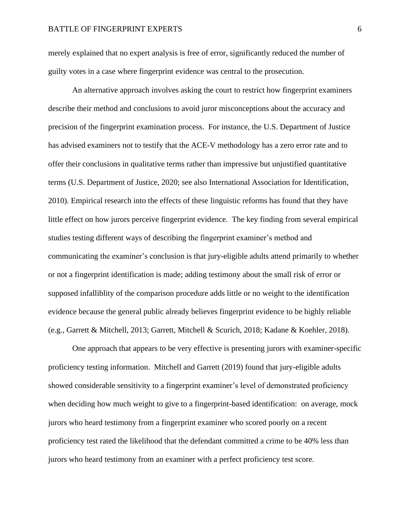merely explained that no expert analysis is free of error, significantly reduced the number of guilty votes in a case where fingerprint evidence was central to the prosecution.

An alternative approach involves asking the court to restrict how fingerprint examiners describe their method and conclusions to avoid juror misconceptions about the accuracy and precision of the fingerprint examination process. For instance, the U.S. Department of Justice has advised examiners not to testify that the ACE-V methodology has a zero error rate and to offer their conclusions in qualitative terms rather than impressive but unjustified quantitative terms (U.S. Department of Justice, 2020; see also International Association for Identification, 2010). Empirical research into the effects of these linguistic reforms has found that they have little effect on how jurors perceive fingerprint evidence. The key finding from several empirical studies testing different ways of describing the fingerprint examiner's method and communicating the examiner's conclusion is that jury-eligible adults attend primarily to whether or not a fingerprint identification is made; adding testimony about the small risk of error or supposed infalliblity of the comparison procedure adds little or no weight to the identification evidence because the general public already believes fingerprint evidence to be highly reliable (e.g., Garrett & Mitchell, 2013; Garrett, Mitchell & Scurich, 2018; Kadane & Koehler, 2018).

One approach that appears to be very effective is presenting jurors with examiner-specific proficiency testing information. Mitchell and Garrett (2019) found that jury-eligible adults showed considerable sensitivity to a fingerprint examiner's level of demonstrated proficiency when deciding how much weight to give to a fingerprint-based identification: on average, mock jurors who heard testimony from a fingerprint examiner who scored poorly on a recent proficiency test rated the likelihood that the defendant committed a crime to be 40% less than jurors who heard testimony from an examiner with a perfect proficiency test score.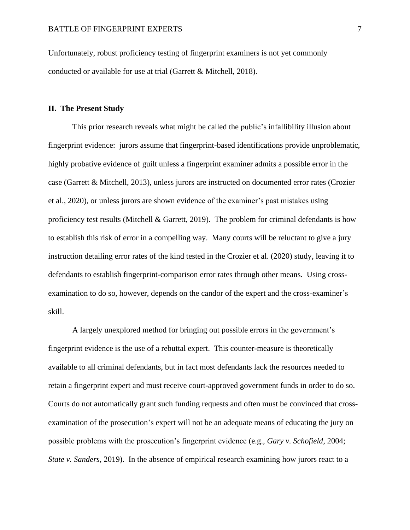Unfortunately, robust proficiency testing of fingerprint examiners is not yet commonly conducted or available for use at trial (Garrett & Mitchell, 2018).

## **II. The Present Study**

This prior research reveals what might be called the public's infallibility illusion about fingerprint evidence: jurors assume that fingerprint-based identifications provide unproblematic, highly probative evidence of guilt unless a fingerprint examiner admits a possible error in the case (Garrett & Mitchell, 2013), unless jurors are instructed on documented error rates (Crozier et al., 2020), or unless jurors are shown evidence of the examiner's past mistakes using proficiency test results (Mitchell & Garrett, 2019). The problem for criminal defendants is how to establish this risk of error in a compelling way. Many courts will be reluctant to give a jury instruction detailing error rates of the kind tested in the Crozier et al. (2020) study, leaving it to defendants to establish fingerprint-comparison error rates through other means. Using crossexamination to do so, however, depends on the candor of the expert and the cross-examiner's skill.

A largely unexplored method for bringing out possible errors in the government's fingerprint evidence is the use of a rebuttal expert. This counter-measure is theoretically available to all criminal defendants, but in fact most defendants lack the resources needed to retain a fingerprint expert and must receive court-approved government funds in order to do so. Courts do not automatically grant such funding requests and often must be convinced that crossexamination of the prosecution's expert will not be an adequate means of educating the jury on possible problems with the prosecution's fingerprint evidence (e.g., *Gary v. Schofield*, 2004; *State v. Sanders*, 2019). In the absence of empirical research examining how jurors react to a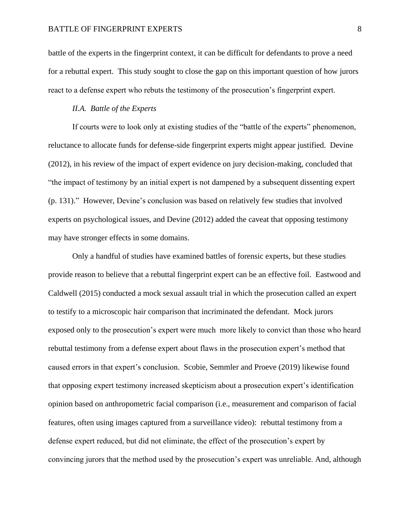battle of the experts in the fingerprint context, it can be difficult for defendants to prove a need for a rebuttal expert. This study sought to close the gap on this important question of how jurors react to a defense expert who rebuts the testimony of the prosecution's fingerprint expert.

# *II.A. Battle of the Experts*

If courts were to look only at existing studies of the "battle of the experts" phenomenon, reluctance to allocate funds for defense-side fingerprint experts might appear justified. Devine (2012), in his review of the impact of expert evidence on jury decision-making, concluded that "the impact of testimony by an initial expert is not dampened by a subsequent dissenting expert (p. 131)." However, Devine's conclusion was based on relatively few studies that involved experts on psychological issues, and Devine (2012) added the caveat that opposing testimony may have stronger effects in some domains.

Only a handful of studies have examined battles of forensic experts, but these studies provide reason to believe that a rebuttal fingerprint expert can be an effective foil. Eastwood and Caldwell (2015) conducted a mock sexual assault trial in which the prosecution called an expert to testify to a microscopic hair comparison that incriminated the defendant. Mock jurors exposed only to the prosecution's expert were much more likely to convict than those who heard rebuttal testimony from a defense expert about flaws in the prosecution expert's method that caused errors in that expert's conclusion. Scobie, Semmler and Proeve (2019) likewise found that opposing expert testimony increased skepticism about a prosecution expert's identification opinion based on anthropometric facial comparison (i.e., measurement and comparison of facial features, often using images captured from a surveillance video): rebuttal testimony from a defense expert reduced, but did not eliminate, the effect of the prosecution's expert by convincing jurors that the method used by the prosecution's expert was unreliable. And, although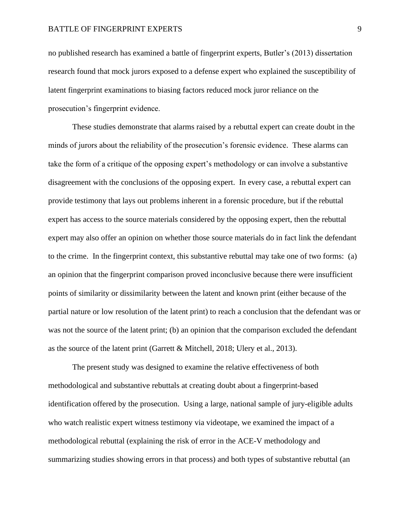no published research has examined a battle of fingerprint experts, Butler's (2013) dissertation research found that mock jurors exposed to a defense expert who explained the susceptibility of latent fingerprint examinations to biasing factors reduced mock juror reliance on the prosecution's fingerprint evidence.

These studies demonstrate that alarms raised by a rebuttal expert can create doubt in the minds of jurors about the reliability of the prosecution's forensic evidence. These alarms can take the form of a critique of the opposing expert's methodology or can involve a substantive disagreement with the conclusions of the opposing expert. In every case, a rebuttal expert can provide testimony that lays out problems inherent in a forensic procedure, but if the rebuttal expert has access to the source materials considered by the opposing expert, then the rebuttal expert may also offer an opinion on whether those source materials do in fact link the defendant to the crime. In the fingerprint context, this substantive rebuttal may take one of two forms: (a) an opinion that the fingerprint comparison proved inconclusive because there were insufficient points of similarity or dissimilarity between the latent and known print (either because of the partial nature or low resolution of the latent print) to reach a conclusion that the defendant was or was not the source of the latent print; (b) an opinion that the comparison excluded the defendant as the source of the latent print (Garrett & Mitchell, 2018; Ulery et al., 2013).

The present study was designed to examine the relative effectiveness of both methodological and substantive rebuttals at creating doubt about a fingerprint-based identification offered by the prosecution. Using a large, national sample of jury-eligible adults who watch realistic expert witness testimony via videotape, we examined the impact of a methodological rebuttal (explaining the risk of error in the ACE-V methodology and summarizing studies showing errors in that process) and both types of substantive rebuttal (an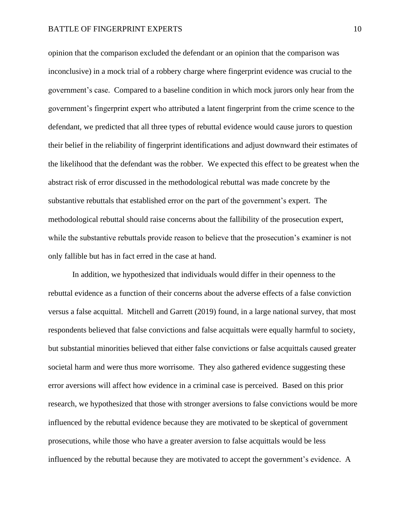opinion that the comparison excluded the defendant or an opinion that the comparison was inconclusive) in a mock trial of a robbery charge where fingerprint evidence was crucial to the government's case. Compared to a baseline condition in which mock jurors only hear from the government's fingerprint expert who attributed a latent fingerprint from the crime scence to the defendant, we predicted that all three types of rebuttal evidence would cause jurors to question their belief in the reliability of fingerprint identifications and adjust downward their estimates of the likelihood that the defendant was the robber. We expected this effect to be greatest when the abstract risk of error discussed in the methodological rebuttal was made concrete by the substantive rebuttals that established error on the part of the government's expert. The methodological rebuttal should raise concerns about the fallibility of the prosecution expert, while the substantive rebuttals provide reason to believe that the prosecution's examiner is not only fallible but has in fact erred in the case at hand.

In addition, we hypothesized that individuals would differ in their openness to the rebuttal evidence as a function of their concerns about the adverse effects of a false conviction versus a false acquittal. Mitchell and Garrett (2019) found, in a large national survey, that most respondents believed that false convictions and false acquittals were equally harmful to society, but substantial minorities believed that either false convictions or false acquittals caused greater societal harm and were thus more worrisome. They also gathered evidence suggesting these error aversions will affect how evidence in a criminal case is perceived. Based on this prior research, we hypothesized that those with stronger aversions to false convictions would be more influenced by the rebuttal evidence because they are motivated to be skeptical of government prosecutions, while those who have a greater aversion to false acquittals would be less influenced by the rebuttal because they are motivated to accept the government's evidence. A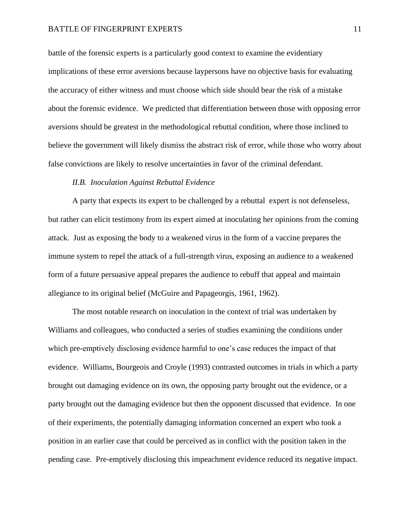battle of the forensic experts is a particularly good context to examine the evidentiary implications of these error aversions because laypersons have no objective basis for evaluating the accuracy of either witness and must choose which side should bear the risk of a mistake about the forensic evidence. We predicted that differentiation between those with opposing error aversions should be greatest in the methodological rebuttal condition, where those inclined to believe the government will likely dismiss the abstract risk of error, while those who worry about false convictions are likely to resolve uncertainties in favor of the criminal defendant.

## *II.B. Inoculation Against Rebuttal Evidence*

A party that expects its expert to be challenged by a rebuttal expert is not defenseless, but rather can elicit testimony from its expert aimed at inoculating her opinions from the coming attack. Just as exposing the body to a weakened virus in the form of a vaccine prepares the immune system to repel the attack of a full-strength virus, exposing an audience to a weakened form of a future persuasive appeal prepares the audience to rebuff that appeal and maintain allegiance to its original belief (McGuire and Papageorgis, 1961, 1962).

The most notable research on inoculation in the context of trial was undertaken by Williams and colleagues, who conducted a series of studies examining the conditions under which pre-emptively disclosing evidence harmful to one's case reduces the impact of that evidence. Williams, Bourgeois and Croyle (1993) contrasted outcomes in trials in which a party brought out damaging evidence on its own, the opposing party brought out the evidence, or a party brought out the damaging evidence but then the opponent discussed that evidence. In one of their experiments, the potentially damaging information concerned an expert who took a position in an earlier case that could be perceived as in conflict with the position taken in the pending case. Pre-emptively disclosing this impeachment evidence reduced its negative impact.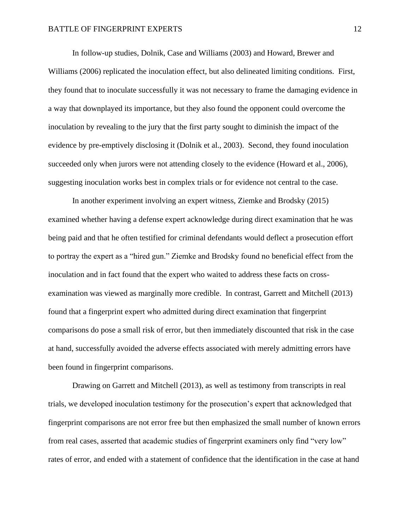In follow-up studies, Dolnik, Case and Williams (2003) and Howard, Brewer and Williams (2006) replicated the inoculation effect, but also delineated limiting conditions. First, they found that to inoculate successfully it was not necessary to frame the damaging evidence in a way that downplayed its importance, but they also found the opponent could overcome the inoculation by revealing to the jury that the first party sought to diminish the impact of the evidence by pre-emptively disclosing it (Dolnik et al., 2003). Second, they found inoculation succeeded only when jurors were not attending closely to the evidence (Howard et al., 2006), suggesting inoculation works best in complex trials or for evidence not central to the case.

In another experiment involving an expert witness, Ziemke and Brodsky (2015) examined whether having a defense expert acknowledge during direct examination that he was being paid and that he often testified for criminal defendants would deflect a prosecution effort to portray the expert as a "hired gun." Ziemke and Brodsky found no beneficial effect from the inoculation and in fact found that the expert who waited to address these facts on crossexamination was viewed as marginally more credible. In contrast, Garrett and Mitchell (2013) found that a fingerprint expert who admitted during direct examination that fingerprint comparisons do pose a small risk of error, but then immediately discounted that risk in the case at hand, successfully avoided the adverse effects associated with merely admitting errors have been found in fingerprint comparisons.

Drawing on Garrett and Mitchell (2013), as well as testimony from transcripts in real trials, we developed inoculation testimony for the prosecution's expert that acknowledged that fingerprint comparisons are not error free but then emphasized the small number of known errors from real cases, asserted that academic studies of fingerprint examiners only find "very low" rates of error, and ended with a statement of confidence that the identification in the case at hand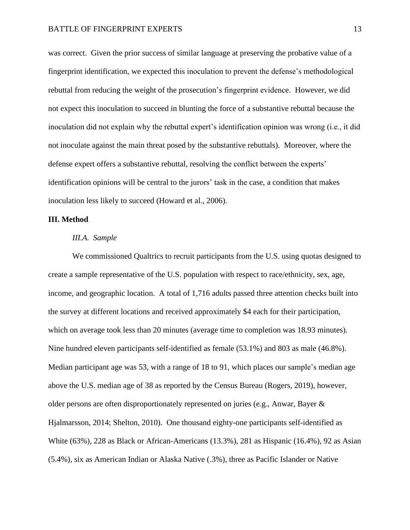was correct. Given the prior success of similar language at preserving the probative value of a fingerprint identification, we expected this inoculation to prevent the defense's methodological rebuttal from reducing the weight of the prosecution's fingerprint evidence. However, we did not expect this inoculation to succeed in blunting the force of a substantive rebuttal because the inoculation did not explain why the rebuttal expert's identification opinion was wrong (i.e., it did not inoculate against the main threat posed by the substantive rebuttals). Moreover, where the defense expert offers a substantive rebuttal, resolving the conflict between the experts' identification opinions will be central to the jurors' task in the case, a condition that makes inoculation less likely to succeed (Howard et al., 2006).

## **III. Method**

#### *III.A. Sample*

We commissioned Qualtrics to recruit participants from the U.S. using quotas designed to create a sample representative of the U.S. population with respect to race/ethnicity, sex, age, income, and geographic location. A total of 1,716 adults passed three attention checks built into the survey at different locations and received approximately \$4 each for their participation, which on average took less than 20 minutes (average time to completion was 18.93 minutes). Nine hundred eleven participants self-identified as female (53.1%) and 803 as male (46.8%). Median participant age was 53, with a range of 18 to 91, which places our sample's median age above the U.S. median age of 38 as reported by the Census Bureau (Rogers, 2019), however, older persons are often disproportionately represented on juries (e.g., Anwar, Bayer & Hjalmarsson, 2014; Shelton, 2010). One thousand eighty-one participants self-identified as White (63%), 228 as Black or African-Americans (13.3%), 281 as Hispanic (16.4%), 92 as Asian (5.4%), six as American Indian or Alaska Native (.3%), three as Pacific Islander or Native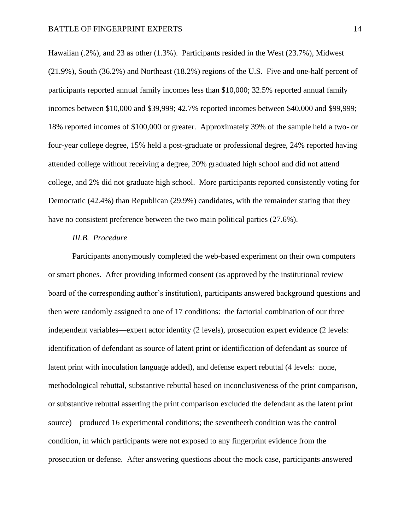Hawaiian (.2%), and 23 as other (1.3%). Participants resided in the West (23.7%), Midwest (21.9%), South (36.2%) and Northeast (18.2%) regions of the U.S. Five and one-half percent of participants reported annual family incomes less than \$10,000; 32.5% reported annual family incomes between \$10,000 and \$39,999; 42.7% reported incomes between \$40,000 and \$99,999; 18% reported incomes of \$100,000 or greater. Approximately 39% of the sample held a two- or four-year college degree, 15% held a post-graduate or professional degree, 24% reported having attended college without receiving a degree, 20% graduated high school and did not attend college, and 2% did not graduate high school. More participants reported consistently voting for Democratic (42.4%) than Republican (29.9%) candidates, with the remainder stating that they have no consistent preference between the two main political parties (27.6%).

#### *III.B. Procedure*

Participants anonymously completed the web-based experiment on their own computers or smart phones. After providing informed consent (as approved by the institutional review board of the corresponding author's institution), participants answered background questions and then were randomly assigned to one of 17 conditions: the factorial combination of our three independent variables—expert actor identity (2 levels), prosecution expert evidence (2 levels: identification of defendant as source of latent print or identification of defendant as source of latent print with inoculation language added), and defense expert rebuttal (4 levels: none, methodological rebuttal, substantive rebuttal based on inconclusiveness of the print comparison, or substantive rebuttal asserting the print comparison excluded the defendant as the latent print source)—produced 16 experimental conditions; the seventheeth condition was the control condition, in which participants were not exposed to any fingerprint evidence from the prosecution or defense. After answering questions about the mock case, participants answered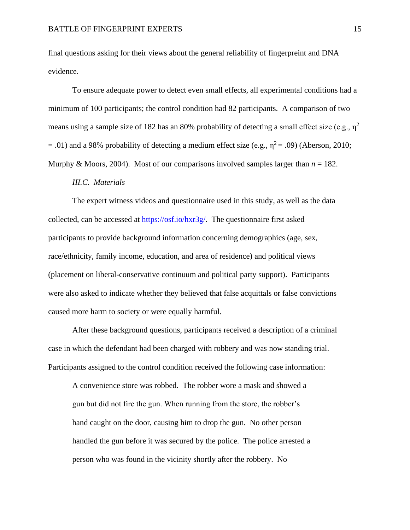final questions asking for their views about the general reliability of fingerpreint and DNA evidence.

To ensure adequate power to detect even small effects, all experimental conditions had a minimum of 100 participants; the control condition had 82 participants. A comparison of two means using a sample size of 182 has an 80% probability of detecting a small effect size (e.g.,  $\eta^2$ )  $= .01$ ) and a 98% probability of detecting a medium effect size (e.g.,  $\eta^2 = .09$ ) (Aberson, 2010; Murphy & Moors, 2004). Most of our comparisons involved samples larger than  $n = 182$ .

#### *III.C. Materials*

The expert witness videos and questionnaire used in this study, as well as the data collected, can be accessed at [https://osf.io/hxr3g/.](https://osf.io/hxr3g/) The questionnaire first asked participants to provide background information concerning demographics (age, sex, race/ethnicity, family income, education, and area of residence) and political views (placement on liberal-conservative continuum and political party support). Participants were also asked to indicate whether they believed that false acquittals or false convictions caused more harm to society or were equally harmful.

After these background questions, participants received a description of a criminal case in which the defendant had been charged with robbery and was now standing trial. Participants assigned to the control condition received the following case information:

A convenience store was robbed. The robber wore a mask and showed a gun but did not fire the gun. When running from the store, the robber's hand caught on the door, causing him to drop the gun. No other person handled the gun before it was secured by the police. The police arrested a person who was found in the vicinity shortly after the robbery. No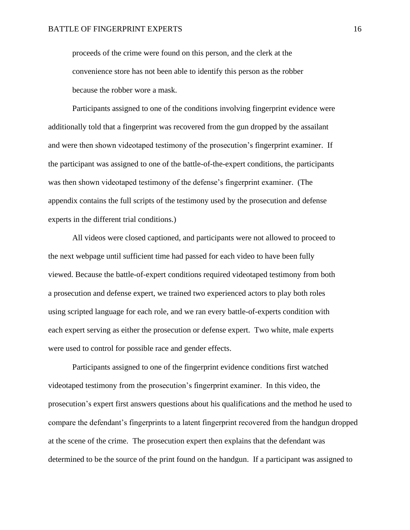proceeds of the crime were found on this person, and the clerk at the convenience store has not been able to identify this person as the robber because the robber wore a mask.

Participants assigned to one of the conditions involving fingerprint evidence were additionally told that a fingerprint was recovered from the gun dropped by the assailant and were then shown videotaped testimony of the prosecution's fingerprint examiner. If the participant was assigned to one of the battle-of-the-expert conditions, the participants was then shown videotaped testimony of the defense's fingerprint examiner. (The appendix contains the full scripts of the testimony used by the prosecution and defense experts in the different trial conditions.)

All videos were closed captioned, and participants were not allowed to proceed to the next webpage until sufficient time had passed for each video to have been fully viewed. Because the battle-of-expert conditions required videotaped testimony from both a prosecution and defense expert, we trained two experienced actors to play both roles using scripted language for each role, and we ran every battle-of-experts condition with each expert serving as either the prosecution or defense expert. Two white, male experts were used to control for possible race and gender effects.

Participants assigned to one of the fingerprint evidence conditions first watched videotaped testimony from the prosecution's fingerprint examiner. In this video, the prosecution's expert first answers questions about his qualifications and the method he used to compare the defendant's fingerprints to a latent fingerprint recovered from the handgun dropped at the scene of the crime. The prosecution expert then explains that the defendant was determined to be the source of the print found on the handgun. If a participant was assigned to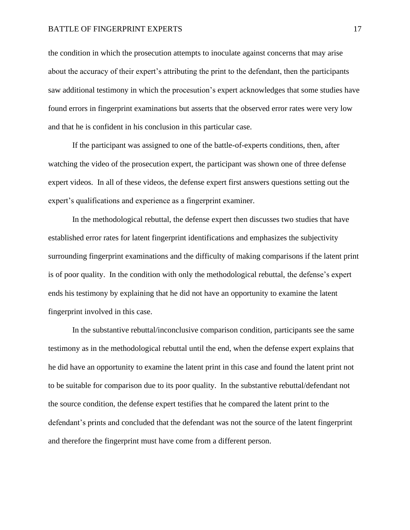the condition in which the prosecution attempts to inoculate against concerns that may arise about the accuracy of their expert's attributing the print to the defendant, then the participants saw additional testimony in which the procesution's expert acknowledges that some studies have found errors in fingerprint examinations but asserts that the observed error rates were very low and that he is confident in his conclusion in this particular case.

If the participant was assigned to one of the battle-of-experts conditions, then, after watching the video of the prosecution expert, the participant was shown one of three defense expert videos. In all of these videos, the defense expert first answers questions setting out the expert's qualifications and experience as a fingerprint examiner.

In the methodological rebuttal, the defense expert then discusses two studies that have established error rates for latent fingerprint identifications and emphasizes the subjectivity surrounding fingerprint examinations and the difficulty of making comparisons if the latent print is of poor quality. In the condition with only the methodological rebuttal, the defense's expert ends his testimony by explaining that he did not have an opportunity to examine the latent fingerprint involved in this case.

In the substantive rebuttal/inconclusive comparison condition, participants see the same testimony as in the methodological rebuttal until the end, when the defense expert explains that he did have an opportunity to examine the latent print in this case and found the latent print not to be suitable for comparison due to its poor quality. In the substantive rebuttal/defendant not the source condition, the defense expert testifies that he compared the latent print to the defendant's prints and concluded that the defendant was not the source of the latent fingerprint and therefore the fingerprint must have come from a different person.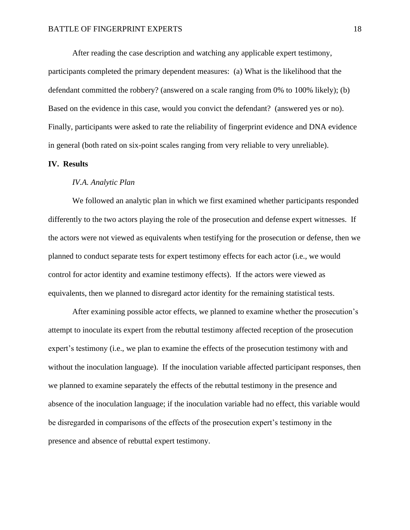After reading the case description and watching any applicable expert testimony, participants completed the primary dependent measures: (a) What is the likelihood that the defendant committed the robbery? (answered on a scale ranging from 0% to 100% likely); (b) Based on the evidence in this case, would you convict the defendant? (answered yes or no). Finally, participants were asked to rate the reliability of fingerprint evidence and DNA evidence in general (both rated on six-point scales ranging from very reliable to very unreliable).

# **IV. Results**

#### *IV.A. Analytic Plan*

We followed an analytic plan in which we first examined whether participants responded differently to the two actors playing the role of the prosecution and defense expert witnesses. If the actors were not viewed as equivalents when testifying for the prosecution or defense, then we planned to conduct separate tests for expert testimony effects for each actor (i.e., we would control for actor identity and examine testimony effects). If the actors were viewed as equivalents, then we planned to disregard actor identity for the remaining statistical tests.

After examining possible actor effects, we planned to examine whether the prosecution's attempt to inoculate its expert from the rebuttal testimony affected reception of the prosecution expert's testimony (i.e., we plan to examine the effects of the prosecution testimony with and without the inoculation language). If the inoculation variable affected participant responses, then we planned to examine separately the effects of the rebuttal testimony in the presence and absence of the inoculation language; if the inoculation variable had no effect, this variable would be disregarded in comparisons of the effects of the prosecution expert's testimony in the presence and absence of rebuttal expert testimony.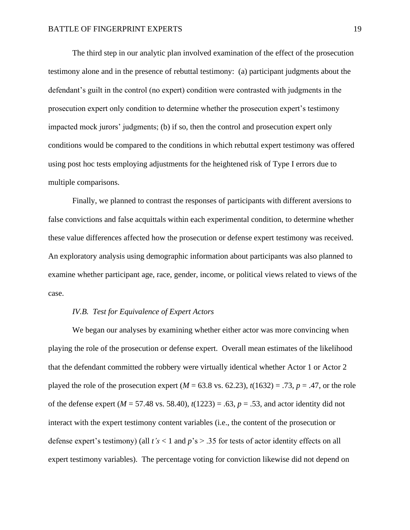The third step in our analytic plan involved examination of the effect of the prosecution testimony alone and in the presence of rebuttal testimony: (a) participant judgments about the defendant's guilt in the control (no expert) condition were contrasted with judgments in the prosecution expert only condition to determine whether the prosecution expert's testimony impacted mock jurors' judgments; (b) if so, then the control and prosecution expert only conditions would be compared to the conditions in which rebuttal expert testimony was offered using post hoc tests employing adjustments for the heightened risk of Type I errors due to multiple comparisons.

Finally, we planned to contrast the responses of participants with different aversions to false convictions and false acquittals within each experimental condition, to determine whether these value differences affected how the prosecution or defense expert testimony was received. An exploratory analysis using demographic information about participants was also planned to examine whether participant age, race, gender, income, or political views related to views of the case.

# *IV.B. Test for Equivalence of Expert Actors*

We began our analyses by examining whether either actor was more convincing when playing the role of the prosecution or defense expert. Overall mean estimates of the likelihood that the defendant committed the robbery were virtually identical whether Actor 1 or Actor 2 played the role of the prosecution expert ( $M = 63.8$  vs. 62.23),  $t(1632) = .73$ ,  $p = .47$ , or the role of the defense expert ( $M = 57.48$  vs. 58.40),  $t(1223) = .63$ ,  $p = .53$ , and actor identity did not interact with the expert testimony content variables (i.e., the content of the prosecution or defense expert's testimony) (all *t's* < 1 and *p*'s > .35 for tests of actor identity effects on all expert testimony variables). The percentage voting for conviction likewise did not depend on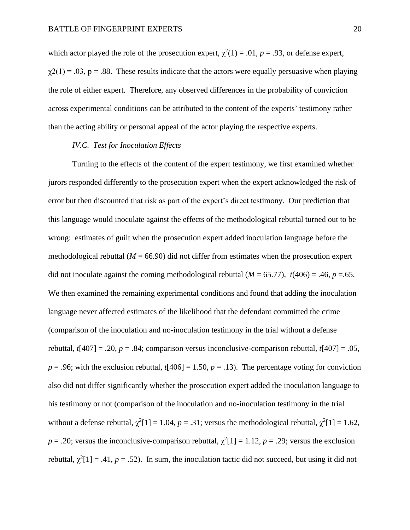which actor played the role of the prosecution expert,  $\chi^2(1) = .01$ ,  $p = .93$ , or defense expert,  $\gamma$ 2(1) = .03, p = .88. These results indicate that the actors were equally persuasive when playing the role of either expert. Therefore, any observed differences in the probability of conviction across experimental conditions can be attributed to the content of the experts' testimony rather than the acting ability or personal appeal of the actor playing the respective experts.

## *IV.C. Test for Inoculation Effects*

Turning to the effects of the content of the expert testimony, we first examined whether jurors responded differently to the prosecution expert when the expert acknowledged the risk of error but then discounted that risk as part of the expert's direct testimony. Our prediction that this language would inoculate against the effects of the methodological rebuttal turned out to be wrong: estimates of guilt when the prosecution expert added inoculation language before the methodological rebuttal  $(M = 66.90)$  did not differ from estimates when the prosecution expert did not inoculate against the coming methodological rebuttal  $(M = 65.77)$ ,  $t(406) = .46$ ,  $p = .65$ . We then examined the remaining experimental conditions and found that adding the inoculation language never affected estimates of the likelihood that the defendant committed the crime (comparison of the inoculation and no-inoculation testimony in the trial without a defense rebuttal,  $t[407] = .20$ ,  $p = .84$ ; comparison versus inconclusive-comparison rebuttal,  $t[407] = .05$ ,  $p = .96$ ; with the exclusion rebuttal,  $t[406] = 1.50$ ,  $p = .13$ ). The percentage voting for conviction also did not differ significantly whether the prosecution expert added the inoculation language to his testimony or not (comparison of the inoculation and no-inoculation testimony in the trial without a defense rebuttal,  $\chi^2[1] = 1.04$ ,  $p = .31$ ; versus the methodological rebuttal,  $\chi^2[1] = 1.62$ ,  $p = 0.20$ ; versus the inconclusive-comparison rebuttal,  $\chi^2[1] = 1.12$ ,  $p = 0.29$ ; versus the exclusion rebuttal,  $\chi^2[1] = .41$ ,  $p = .52$ ). In sum, the inoculation tactic did not succeed, but using it did not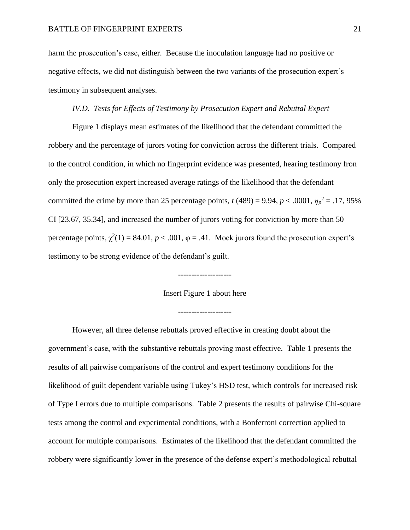harm the prosecution's case, either. Because the inoculation language had no positive or negative effects, we did not distinguish between the two variants of the prosecution expert's testimony in subsequent analyses.

# *IV.D. Tests for Effects of Testimony by Prosecution Expert and Rebuttal Expert*

Figure 1 displays mean estimates of the likelihood that the defendant committed the robbery and the percentage of jurors voting for conviction across the different trials. Compared to the control condition, in which no fingerprint evidence was presented, hearing testimony fron only the prosecution expert increased average ratings of the likelihood that the defendant committed the crime by more than 25 percentage points,  $t(489) = 9.94$ ,  $p < .0001$ ,  $\eta_p^2 = .17,95\%$ CI [23.67, 35.34], and increased the number of jurors voting for conviction by more than 50 percentage points,  $\chi^2(1) = 84.01$ ,  $p < .001$ ,  $\varphi = .41$ . Mock jurors found the prosecution expert's testimony to be strong evidence of the defendant's guilt.

# Insert Figure 1 about here

--------------------

--------------------

However, all three defense rebuttals proved effective in creating doubt about the government's case, with the substantive rebuttals proving most effective. Table 1 presents the results of all pairwise comparisons of the control and expert testimony conditions for the likelihood of guilt dependent variable using Tukey's HSD test, which controls for increased risk of Type I errors due to multiple comparisons. Table 2 presents the results of pairwise Chi-square tests among the control and experimental conditions, with a Bonferroni correction applied to account for multiple comparisons. Estimates of the likelihood that the defendant committed the robbery were significantly lower in the presence of the defense expert's methodological rebuttal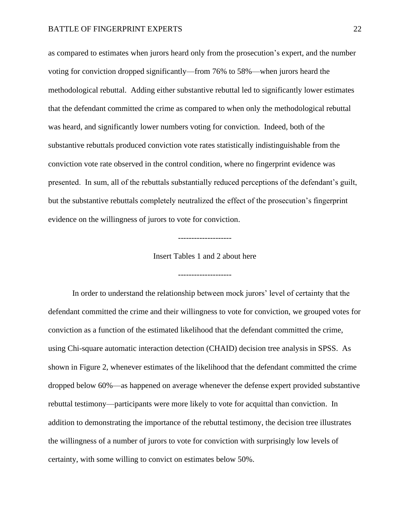as compared to estimates when jurors heard only from the prosecution's expert, and the number voting for conviction dropped significantly—from 76% to 58%—when jurors heard the methodological rebuttal. Adding either substantive rebuttal led to significantly lower estimates that the defendant committed the crime as compared to when only the methodological rebuttal was heard, and significantly lower numbers voting for conviction. Indeed, both of the substantive rebuttals produced conviction vote rates statistically indistinguishable from the conviction vote rate observed in the control condition, where no fingerprint evidence was presented. In sum, all of the rebuttals substantially reduced perceptions of the defendant's guilt, but the substantive rebuttals completely neutralized the effect of the prosecution's fingerprint evidence on the willingness of jurors to vote for conviction.

Insert Tables 1 and 2 about here

--------------------

--------------------

In order to understand the relationship between mock jurors' level of certainty that the defendant committed the crime and their willingness to vote for conviction, we grouped votes for conviction as a function of the estimated likelihood that the defendant committed the crime, using Chi-square automatic interaction detection (CHAID) decision tree analysis in SPSS. As shown in Figure 2, whenever estimates of the likelihood that the defendant committed the crime dropped below 60%—as happened on average whenever the defense expert provided substantive rebuttal testimony—participants were more likely to vote for acquittal than conviction. In addition to demonstrating the importance of the rebuttal testimony, the decision tree illustrates the willingness of a number of jurors to vote for conviction with surprisingly low levels of certainty, with some willing to convict on estimates below 50%.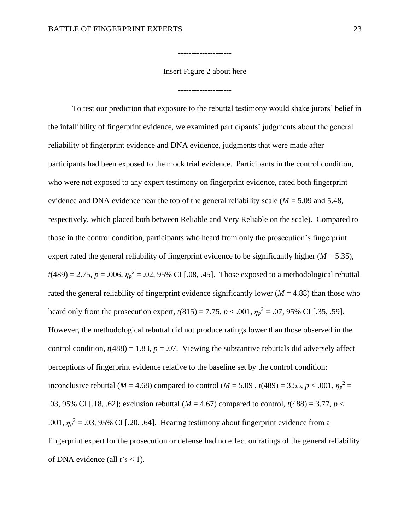Insert Figure 2 about here

--------------------

--------------------

To test our prediction that exposure to the rebuttal testimony would shake jurors' belief in the infallibility of fingerprint evidence, we examined participants' judgments about the general reliability of fingerprint evidence and DNA evidence, judgments that were made after participants had been exposed to the mock trial evidence. Participants in the control condition, who were not exposed to any expert testimony on fingerprint evidence, rated both fingerprint evidence and DNA evidence near the top of the general reliability scale  $(M = 5.09$  and 5.48, respectively, which placed both between Reliable and Very Reliable on the scale). Compared to those in the control condition, participants who heard from only the prosecution's fingerprint expert rated the general reliability of fingerprint evidence to be significantly higher  $(M = 5.35)$ ,  $t(489) = 2.75$ ,  $p = .006$ ,  $\eta_p^2 = .02$ , 95% CI [.08, .45]. Those exposed to a methodological rebuttal rated the general reliability of fingerprint evidence significantly lower ( $M = 4.88$ ) than those who heard only from the prosecution expert,  $t(815) = 7.75$ ,  $p < .001$ ,  $\eta_p^2 = .07$ , 95% CI [.35, .59]. However, the methodological rebuttal did not produce ratings lower than those observed in the control condition,  $t(488) = 1.83$ ,  $p = .07$ . Viewing the substantive rebuttals did adversely affect perceptions of fingerprint evidence relative to the baseline set by the control condition: inconclusive rebuttal (*M* = 4.68) compared to control (*M* = 5.09, *t*(489) = 3.55, *p* < .001,  $\eta_p^2$  = .03, 95% CI [.18, .62]; exclusion rebuttal (*M* = 4.67) compared to control, *t*(488) = 3.77, *p* < .001,  $\eta_p^2$  = .03, 95% CI [.20, .64]. Hearing testimony about fingerprint evidence from a fingerprint expert for the prosecution or defense had no effect on ratings of the general reliability of DNA evidence (all  $t$ 's < 1).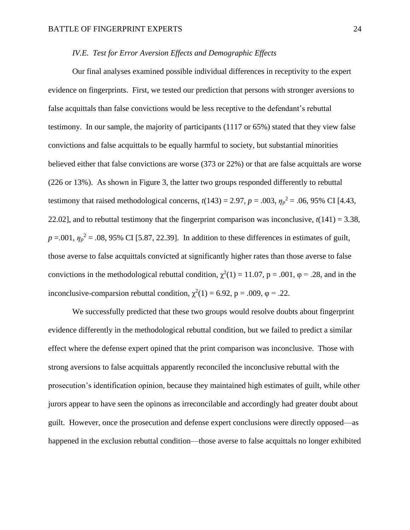# *IV.E. Test for Error Aversion Effects and Demographic Effects*

Our final analyses examined possible individual differences in receptivity to the expert evidence on fingerprints. First, we tested our prediction that persons with stronger aversions to false acquittals than false convictions would be less receptive to the defendant's rebuttal testimony. In our sample, the majority of participants (1117 or 65%) stated that they view false convictions and false acquittals to be equally harmful to society, but substantial minorities believed either that false convictions are worse (373 or 22%) or that are false acquittals are worse (226 or 13%). As shown in Figure 3, the latter two groups responded differently to rebuttal testimony that raised methodological concerns,  $t(143) = 2.97$ ,  $p = .003$ ,  $\eta_p^2 = .06$ , 95% CI [4.43, 22.02], and to rebuttal testimony that the fingerprint comparison was inconclusive, *t*(141) = 3.38,  $p = .001$ ,  $\eta_p^2 = .08$ , 95% CI [5.87, 22.39]. In addition to these differences in estimates of guilt, those averse to false acquittals convicted at significantly higher rates than those averse to false convictions in the methodological rebuttal condition,  $\chi^2(1) = 11.07$ , p = .001,  $\varphi = .28$ , and in the inconclusive-comparsion rebuttal condition,  $\chi^2(1) = 6.92$ , p = .009,  $\varphi = .22$ .

We successfully predicted that these two groups would resolve doubts about fingerprint evidence differently in the methodological rebuttal condition, but we failed to predict a similar effect where the defense expert opined that the print comparison was inconclusive. Those with strong aversions to false acquittals apparently reconciled the inconclusive rebuttal with the prosecution's identification opinion, because they maintained high estimates of guilt, while other jurors appear to have seen the opinons as irreconcilable and accordingly had greater doubt about guilt. However, once the prosecution and defense expert conclusions were directly opposed—as happened in the exclusion rebuttal condition—those averse to false acquittals no longer exhibited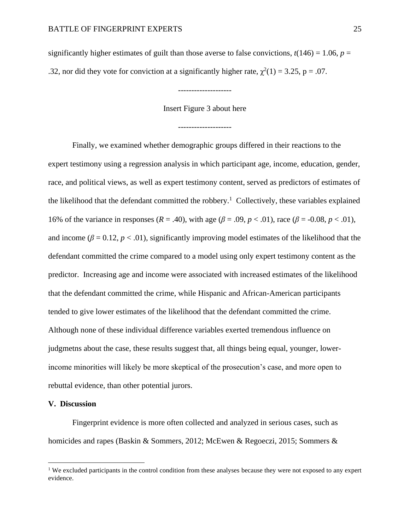significantly higher estimates of guilt than those averse to false convictions,  $t(146) = 1.06$ ,  $p =$ .32, nor did they vote for conviction at a significantly higher rate,  $\chi^2(1) = 3.25$ , p = .07.

Insert Figure 3 about here

--------------------

--------------------

Finally, we examined whether demographic groups differed in their reactions to the expert testimony using a regression analysis in which participant age, income, education, gender, race, and political views, as well as expert testimony content, served as predictors of estimates of the likelihood that the defendant committed the robbery.<sup>1</sup> Collectively, these variables explained 16% of the variance in responses (*R* = .40), with age (*β* = .09, *p* < .01), race (*β* = -0.08, *p* < .01), and income ( $\beta = 0.12$ ,  $p < 0.01$ ), significantly improving model estimates of the likelihood that the defendant committed the crime compared to a model using only expert testimony content as the predictor. Increasing age and income were associated with increased estimates of the likelihood that the defendant committed the crime, while Hispanic and African-American participants tended to give lower estimates of the likelihood that the defendant committed the crime. Although none of these individual difference variables exerted tremendous influence on judgmetns about the case, these results suggest that, all things being equal, younger, lowerincome minorities will likely be more skeptical of the prosecution's case, and more open to rebuttal evidence, than other potential jurors.

# **V. Discussion**

Fingerprint evidence is more often collected and analyzed in serious cases, such as homicides and rapes (Baskin & Sommers, 2012; McEwen & Regoeczi, 2015; Sommers &

<sup>&</sup>lt;sup>1</sup> We excluded participants in the control condition from these analyses because they were not exposed to any expert evidence.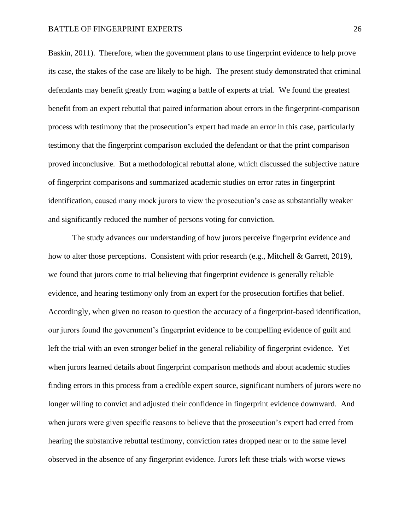Baskin, 2011). Therefore, when the government plans to use fingerprint evidence to help prove its case, the stakes of the case are likely to be high. The present study demonstrated that criminal defendants may benefit greatly from waging a battle of experts at trial. We found the greatest benefit from an expert rebuttal that paired information about errors in the fingerprint-comparison process with testimony that the prosecution's expert had made an error in this case, particularly testimony that the fingerprint comparison excluded the defendant or that the print comparison proved inconclusive. But a methodological rebuttal alone, which discussed the subjective nature of fingerprint comparisons and summarized academic studies on error rates in fingerprint identification, caused many mock jurors to view the prosecution's case as substantially weaker and significantly reduced the number of persons voting for conviction.

The study advances our understanding of how jurors perceive fingerprint evidence and how to alter those perceptions. Consistent with prior research (e.g., Mitchell & Garrett, 2019), we found that jurors come to trial believing that fingerprint evidence is generally reliable evidence, and hearing testimony only from an expert for the prosecution fortifies that belief. Accordingly, when given no reason to question the accuracy of a fingerprint-based identification, our jurors found the government's fingerprint evidence to be compelling evidence of guilt and left the trial with an even stronger belief in the general reliability of fingerprint evidence. Yet when jurors learned details about fingerprint comparison methods and about academic studies finding errors in this process from a credible expert source, significant numbers of jurors were no longer willing to convict and adjusted their confidence in fingerprint evidence downward. And when jurors were given specific reasons to believe that the prosecution's expert had erred from hearing the substantive rebuttal testimony, conviction rates dropped near or to the same level observed in the absence of any fingerprint evidence. Jurors left these trials with worse views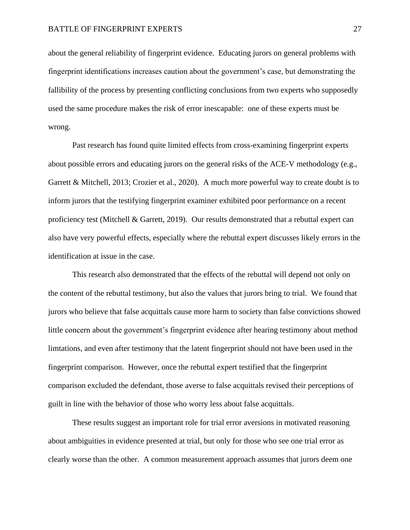about the general reliability of fingerprint evidence. Educating jurors on general problems with fingerprint identifications increases caution about the government's case, but demonstrating the fallibility of the process by presenting conflicting conclusions from two experts who supposedly used the same procedure makes the risk of error inescapable: one of these experts must be wrong.

Past research has found quite limited effects from cross-examining fingerprint experts about possible errors and educating jurors on the general risks of the ACE-V methodology (e.g., Garrett & Mitchell, 2013; Crozier et al., 2020). A much more powerful way to create doubt is to inform jurors that the testifying fingerprint examiner exhibited poor performance on a recent proficiency test (Mitchell & Garrett, 2019). Our results demonstrated that a rebuttal expert can also have very powerful effects, especially where the rebuttal expert discusses likely errors in the identification at issue in the case.

This research also demonstrated that the effects of the rebuttal will depend not only on the content of the rebuttal testimony, but also the values that jurors bring to trial. We found that jurors who believe that false acquittals cause more harm to society than false convictions showed little concern about the government's fingerprint evidence after hearing testimony about method limtations, and even after testimony that the latent fingerprint should not have been used in the fingerprint comparison. However, once the rebuttal expert testified that the fingerprint comparison excluded the defendant, those averse to false acquittals revised their perceptions of guilt in line with the behavior of those who worry less about false acquittals.

These results suggest an important role for trial error aversions in motivated reasoning about ambiguities in evidence presented at trial, but only for those who see one trial error as clearly worse than the other. A common measurement approach assumes that jurors deem one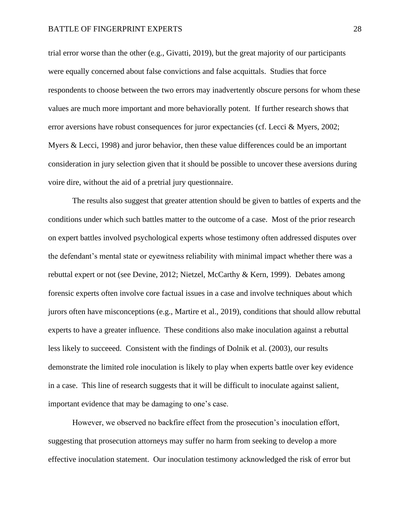trial error worse than the other (e.g., Givatti, 2019), but the great majority of our participants were equally concerned about false convictions and false acquittals. Studies that force respondents to choose between the two errors may inadvertently obscure persons for whom these values are much more important and more behaviorally potent. If further research shows that error aversions have robust consequences for juror expectancies (cf. Lecci & Myers, 2002; Myers & Lecci, 1998) and juror behavior, then these value differences could be an important consideration in jury selection given that it should be possible to uncover these aversions during voire dire, without the aid of a pretrial jury questionnaire.

The results also suggest that greater attention should be given to battles of experts and the conditions under which such battles matter to the outcome of a case. Most of the prior research on expert battles involved psychological experts whose testimony often addressed disputes over the defendant's mental state or eyewitness reliability with minimal impact whether there was a rebuttal expert or not (see Devine, 2012; Nietzel, McCarthy & Kern, 1999). Debates among forensic experts often involve core factual issues in a case and involve techniques about which jurors often have misconceptions (e.g., Martire et al., 2019), conditions that should allow rebuttal experts to have a greater influence. These conditions also make inoculation against a rebuttal less likely to succeeed. Consistent with the findings of Dolnik et al. (2003), our results demonstrate the limited role inoculation is likely to play when experts battle over key evidence in a case. This line of research suggests that it will be difficult to inoculate against salient, important evidence that may be damaging to one's case.

However, we observed no backfire effect from the prosecution's inoculation effort, suggesting that prosecution attorneys may suffer no harm from seeking to develop a more effective inoculation statement. Our inoculation testimony acknowledged the risk of error but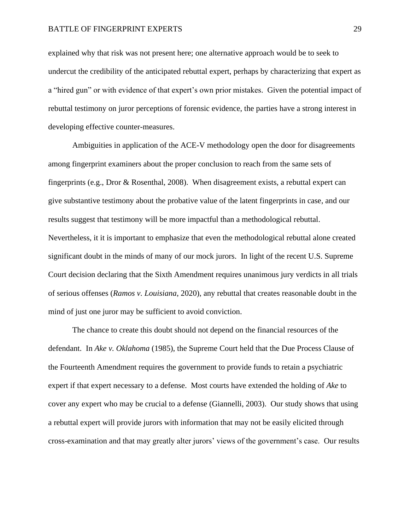explained why that risk was not present here; one alternative approach would be to seek to undercut the credibility of the anticipated rebuttal expert, perhaps by characterizing that expert as a "hired gun" or with evidence of that expert's own prior mistakes. Given the potential impact of rebuttal testimony on juror perceptions of forensic evidence, the parties have a strong interest in developing effective counter-measures.

Ambiguities in application of the ACE-V methodology open the door for disagreements among fingerprint examiners about the proper conclusion to reach from the same sets of fingerprints (e.g., Dror & Rosenthal, 2008). When disagreement exists, a rebuttal expert can give substantive testimony about the probative value of the latent fingerprints in case, and our results suggest that testimony will be more impactful than a methodological rebuttal. Nevertheless, it it is important to emphasize that even the methodological rebuttal alone created significant doubt in the minds of many of our mock jurors. In light of the recent U.S. Supreme Court decision declaring that the Sixth Amendment requires unanimous jury verdicts in all trials of serious offenses (*Ramos v. Louisiana*, 2020), any rebuttal that creates reasonable doubt in the mind of just one juror may be sufficient to avoid conviction.

The chance to create this doubt should not depend on the financial resources of the defendant. In *Ake v. Oklahoma* (1985), the Supreme Court held that the Due Process Clause of the Fourteenth Amendment requires the government to provide funds to retain a psychiatric expert if that expert necessary to a defense. Most courts have extended the holding of *Ake* to cover any expert who may be crucial to a defense (Giannelli, 2003). Our study shows that using a rebuttal expert will provide jurors with information that may not be easily elicited through cross-examination and that may greatly alter jurors' views of the government's case. Our results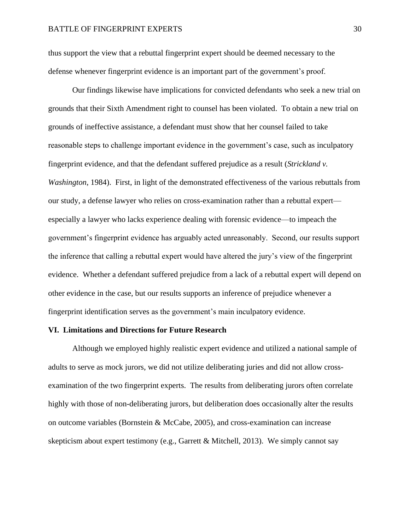thus support the view that a rebuttal fingerprint expert should be deemed necessary to the defense whenever fingerprint evidence is an important part of the government's proof.

Our findings likewise have implications for convicted defendants who seek a new trial on grounds that their Sixth Amendment right to counsel has been violated. To obtain a new trial on grounds of ineffective assistance, a defendant must show that her counsel failed to take reasonable steps to challenge important evidence in the government's case, such as inculpatory fingerprint evidence, and that the defendant suffered prejudice as a result (*Strickland v. Washington*, 1984). First, in light of the demonstrated effectiveness of the various rebuttals from our study, a defense lawyer who relies on cross-examination rather than a rebuttal expert especially a lawyer who lacks experience dealing with forensic evidence—to impeach the government's fingerprint evidence has arguably acted unreasonably. Second, our results support the inference that calling a rebuttal expert would have altered the jury's view of the fingerprint evidence. Whether a defendant suffered prejudice from a lack of a rebuttal expert will depend on other evidence in the case, but our results supports an inference of prejudice whenever a fingerprint identification serves as the government's main inculpatory evidence.

#### **VI. Limitations and Directions for Future Research**

Although we employed highly realistic expert evidence and utilized a national sample of adults to serve as mock jurors, we did not utilize deliberating juries and did not allow crossexamination of the two fingerprint experts. The results from deliberating jurors often correlate highly with those of non-deliberating jurors, but deliberation does occasionally alter the results on outcome variables (Bornstein & McCabe, 2005), and cross-examination can increase skepticism about expert testimony (e.g., Garrett & Mitchell, 2013). We simply cannot say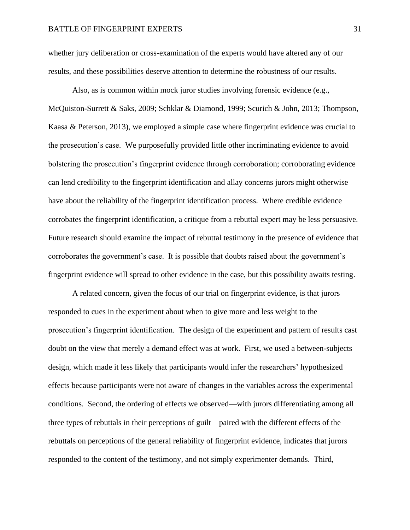whether jury deliberation or cross-examination of the experts would have altered any of our results, and these possibilities deserve attention to determine the robustness of our results.

Also, as is common within mock juror studies involving forensic evidence (e.g., McQuiston-Surrett & Saks, 2009; Schklar & Diamond, 1999; Scurich & John, 2013; Thompson, Kaasa & Peterson, 2013), we employed a simple case where fingerprint evidence was crucial to the prosecution's case. We purposefully provided little other incriminating evidence to avoid bolstering the prosecution's fingerprint evidence through corroboration; corroborating evidence can lend credibility to the fingerprint identification and allay concerns jurors might otherwise have about the reliability of the fingerprint identification process. Where credible evidence corrobates the fingerprint identification, a critique from a rebuttal expert may be less persuasive. Future research should examine the impact of rebuttal testimony in the presence of evidence that corroborates the government's case. It is possible that doubts raised about the government's fingerprint evidence will spread to other evidence in the case, but this possibility awaits testing.

A related concern, given the focus of our trial on fingerprint evidence, is that jurors responded to cues in the experiment about when to give more and less weight to the prosecution's fingerprint identification. The design of the experiment and pattern of results cast doubt on the view that merely a demand effect was at work. First, we used a between-subjects design, which made it less likely that participants would infer the researchers' hypothesized effects because participants were not aware of changes in the variables across the experimental conditions. Second, the ordering of effects we observed—with jurors differentiating among all three types of rebuttals in their perceptions of guilt—paired with the different effects of the rebuttals on perceptions of the general reliability of fingerprint evidence, indicates that jurors responded to the content of the testimony, and not simply experimenter demands. Third,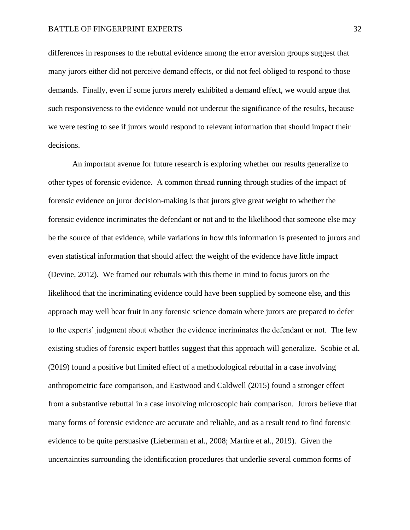differences in responses to the rebuttal evidence among the error aversion groups suggest that many jurors either did not perceive demand effects, or did not feel obliged to respond to those demands. Finally, even if some jurors merely exhibited a demand effect, we would argue that such responsiveness to the evidence would not undercut the significance of the results, because we were testing to see if jurors would respond to relevant information that should impact their decisions.

An important avenue for future research is exploring whether our results generalize to other types of forensic evidence. A common thread running through studies of the impact of forensic evidence on juror decision-making is that jurors give great weight to whether the forensic evidence incriminates the defendant or not and to the likelihood that someone else may be the source of that evidence, while variations in how this information is presented to jurors and even statistical information that should affect the weight of the evidence have little impact (Devine, 2012). We framed our rebuttals with this theme in mind to focus jurors on the likelihood that the incriminating evidence could have been supplied by someone else, and this approach may well bear fruit in any forensic science domain where jurors are prepared to defer to the experts' judgment about whether the evidence incriminates the defendant or not. The few existing studies of forensic expert battles suggest that this approach will generalize. Scobie et al. (2019) found a positive but limited effect of a methodological rebuttal in a case involving anthropometric face comparison, and Eastwood and Caldwell (2015) found a stronger effect from a substantive rebuttal in a case involving microscopic hair comparison. Jurors believe that many forms of forensic evidence are accurate and reliable, and as a result tend to find forensic evidence to be quite persuasive (Lieberman et al., 2008; Martire et al., 2019). Given the uncertainties surrounding the identification procedures that underlie several common forms of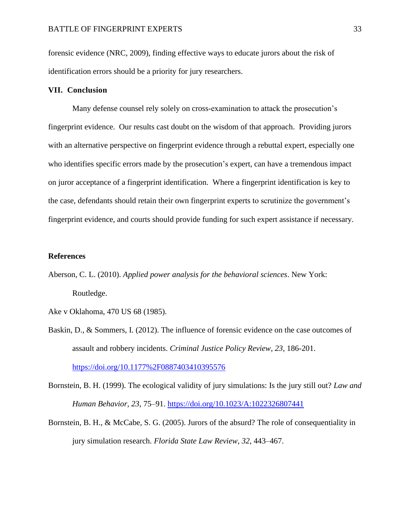forensic evidence (NRC, 2009), finding effective ways to educate jurors about the risk of identification errors should be a priority for jury researchers.

## **VII. Conclusion**

Many defense counsel rely solely on cross-examination to attack the prosecution's fingerprint evidence. Our results cast doubt on the wisdom of that approach. Providing jurors with an alternative perspective on fingerprint evidence through a rebuttal expert, especially one who identifies specific errors made by the prosecution's expert, can have a tremendous impact on juror acceptance of a fingerprint identification. Where a fingerprint identification is key to the case, defendants should retain their own fingerprint experts to scrutinize the government's fingerprint evidence, and courts should provide funding for such expert assistance if necessary.

## **References**

Aberson, C. L. (2010). *Applied power analysis for the behavioral sciences*. New York: Routledge.

Ake v Oklahoma, 470 US 68 (1985).

Baskin, D., & Sommers, I. (2012). The influence of forensic evidence on the case outcomes of assault and robbery incidents. *Criminal Justice Policy Review*, *23*, 186-201. <https://doi.org/10.1177%2F0887403410395576>

Bornstein, B. H. (1999). The ecological validity of jury simulations: Is the jury still out? *Law and Human Behavior, 23*, 75–91. [https://doi.org/10.1023/A:1022326807441](https://psycnet.apa.org/doi/10.1023/A:1022326807441)

Bornstein, B. H., & McCabe, S. G. (2005). Jurors of the absurd? The role of consequentiality in jury simulation research. *Florida State Law Review*, *32*, 443–467.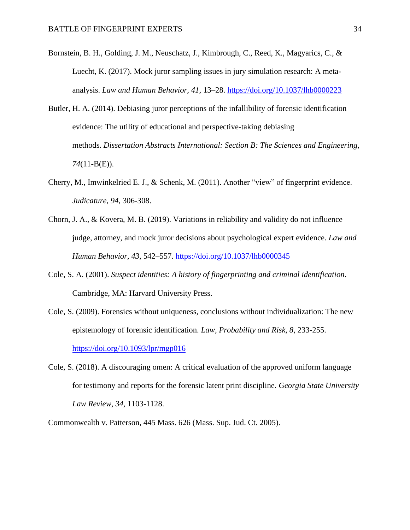- Bornstein, B. H., Golding, J. M., Neuschatz, J., Kimbrough, C., Reed, K., Magyarics, C., & Luecht, K. (2017). Mock juror sampling issues in jury simulation research: A metaanalysis. *Law and Human Behavior, 41*, 13–28. [https://doi.org/10.1037/lhb0000223](https://psycnet.apa.org/doi/10.1037/lhb0000223)
- Butler, H. A. (2014). Debiasing juror perceptions of the infallibility of forensic identification evidence: The utility of educational and perspective-taking debiasing methods. *Dissertation Abstracts International: Section B: The Sciences and Engineering, 74*(11-B(E)).
- Cherry, M., Imwinkelried E. J., & Schenk, M. (2011). Another "view" of fingerprint evidence. *Judicature*, *94*, 306-308.
- Chorn, J. A., & Kovera, M. B. (2019). Variations in reliability and validity do not influence judge, attorney, and mock juror decisions about psychological expert evidence. *Law and Human Behavior, 43*, 542–557. [https://doi.org/10.1037/lhb0000345](https://psycnet.apa.org/doi/10.1037/lhb0000345)
- Cole, S. A. (2001). *Suspect identities: A history of fingerprinting and criminal identification*. Cambridge, MA: Harvard University Press.
- Cole, S. (2009). Forensics without uniqueness, conclusions without individualization: The new epistemology of forensic identification. *Law, Probability and Risk*, *8*, 233-255. <https://doi.org/10.1093/lpr/mgp016>
- Cole, S. (2018). A discouraging omen: A critical evaluation of the approved uniform language for testimony and reports for the forensic latent print discipline. *Georgia State University Law Review*, *34*, 1103-1128.

Commonwealth v. Patterson, 445 Mass. 626 (Mass. Sup. Jud. Ct. 2005).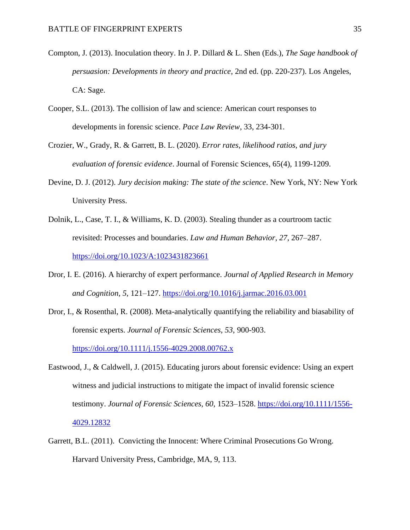- Compton, J. (2013). Inoculation theory. In J. P. Dillard & L. Shen (Eds.), *The Sage handbook of persuasion: Developments in theory and practice*, 2nd ed. (pp. 220-237). Los Angeles, CA: Sage.
- Cooper, S.L. (2013). The collision of law and science: American court responses to developments in forensic science. *Pace Law Review*, 33, 234-301.
- Crozier, W., Grady, R. & Garrett, B. L. (2020). *Error rates, likelihood ratios, and jury evaluation of forensic evidence*. Journal of Forensic Sciences, 65(4), 1199-1209.
- Devine, D. J. (2012). *Jury decision making: The state of the science*. New York, NY: New York University Press.
- Dolnik, L., Case, T. I., & Williams, K. D. (2003). Stealing thunder as a courtroom tactic revisited: Processes and boundaries. *Law and Human Behavior*, *27*, 267–287. [https://doi.org/10.1023/A:1023431823661](https://psycnet.apa.org/doi/10.1023/A:1023431823661)
- Dror, I. E. (2016). A hierarchy of expert performance. *Journal of Applied Research in Memory and Cognition, 5*, 121–127. [https://doi.org/10.1016/j.jarmac.2016.03.001](https://psycnet.apa.org/doi/10.1016/j.jarmac.2016.03.001)
- Dror, I., & Rosenthal, R. (2008). Meta-analytically quantifying the reliability and biasability of forensic experts. *Journal of Forensic Sciences, 53*, 900-903. [https://doi.org/10.1111/j.1556-4029.2008.00762.x](https://psycnet.apa.org/doi/10.1111/j.1556-4029.2008.00762.x)
- Eastwood, J., & Caldwell, J. (2015). Educating jurors about forensic evidence: Using an expert witness and judicial instructions to mitigate the impact of invalid forensic science testimony. *Journal of Forensic Sciences, 60*, 1523–1528. [https://doi.org/10.1111/1556-](https://psycnet.apa.org/doi/10.1111/1556-4029.12832) [4029.12832](https://psycnet.apa.org/doi/10.1111/1556-4029.12832)
- Garrett, B.L. (2011). Convicting the Innocent: Where Criminal Prosecutions Go Wrong. Harvard University Press, Cambridge, MA, 9, 113.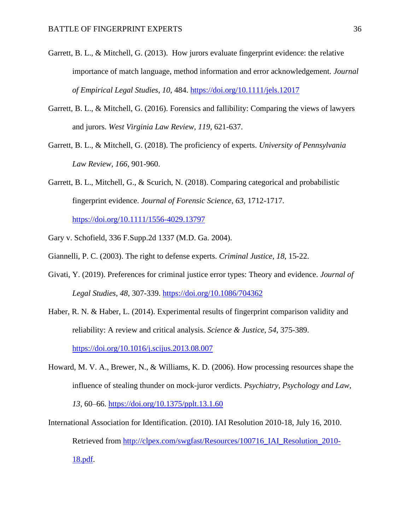- Garrett, B. L., & Mitchell, G. (2013). How jurors evaluate fingerprint evidence: the relative importance of match language, method information and error acknowledgement. *Journal of Empirical Legal Studies*, *10*, 484. <https://doi.org/10.1111/jels.12017>
- Garrett, B. L., & Mitchell, G. (2016). Forensics and fallibility: Comparing the views of lawyers and jurors. *West Virginia Law Review*, *119*, 621-637.
- Garrett, B. L., & Mitchell, G. (2018). The proficiency of experts. *University of Pennsylvania Law Review*, *166*, 901-960.
- Garrett, B. L., Mitchell, G., & Scurich, N. (2018). Comparing categorical and probabilistic fingerprint evidence. *Journal of Forensic Science*, *63*, 1712-1717.

<https://doi.org/10.1111/1556-4029.13797>

- Gary v. Schofield, 336 F.Supp.2d 1337 (M.D. Ga. 2004).
- Giannelli, P. C. (2003). The right to defense experts. *Criminal Justice*, *18*, 15-22.
- Givati, Y. (2019). Preferences for criminal justice error types: Theory and evidence. *Journal of Legal Studies*, *48*, 307-339.<https://doi.org/10.1086/704362>
- Haber, R. N. & Haber, L. (2014). Experimental results of fingerprint comparison validity and reliability: A review and critical analysis. *Science & Justice*, *54*, 375-389. <https://doi.org/10.1016/j.scijus.2013.08.007>
- Howard, M. V. A., Brewer, N., & Williams, K. D. (2006). How processing resources shape the influence of stealing thunder on mock-juror verdicts. *Psychiatry, Psychology and Law*, *13*, 60–66.<https://doi.org/10.1375/pplt.13.1.60>
- International Association for Identification. (2010). IAI Resolution 2010-18, July 16, 2010. Retrieved from [http://clpex.com/swgfast/Resources/100716\\_IAI\\_Resolution\\_2010-](http://clpex.com/swgfast/Resources/100716_IAI_Resolution_2010-18.pdf) [18.pdf.](http://clpex.com/swgfast/Resources/100716_IAI_Resolution_2010-18.pdf)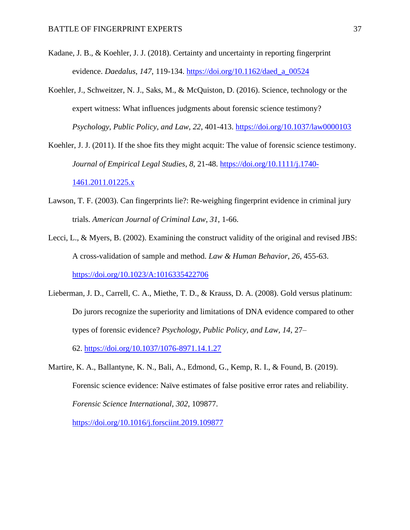- Kadane, J. B., & Koehler, J. J. (2018). Certainty and uncertainty in reporting fingerprint evidence. *Daedalus*, *147*, 119-134. [https://doi.org/10.1162/daed\\_a\\_00524](https://doi.org/10.1162/daed_a_00524)
- Koehler, J., Schweitzer, N. J., Saks, M., & McQuiston, D. (2016). Science, technology or the expert witness: What influences judgments about forensic science testimony? *Psychology, Public Policy, and Law*, *22*, 401-413. [https://doi.org/10.1037/law0000103](https://psycnet.apa.org/doi/10.1037/law0000103)
- Koehler, J. J. (2011). If the shoe fits they might acquit: The value of forensic science testimony. *Journal of Empirical Legal Studies*, *8,* 21-48. [https://doi.org/10.1111/j.1740-](https://doi.org/10.1111/j.1740-1461.2011.01225.x) [1461.2011.01225.x](https://doi.org/10.1111/j.1740-1461.2011.01225.x)
- Lawson, T. F. (2003). Can fingerprints lie?: Re-weighing fingerprint evidence in criminal jury trials. *American Journal of Criminal Law*, *31*, 1-66.
- Lecci, L., & Myers, B. (2002). Examining the construct validity of the original and revised JBS: A cross-validation of sample and method. *Law & Human Behavior*, *26*, 455-63. [https://doi.org/10.1023/A:1016335422706](https://psycnet.apa.org/doi/10.1023/A:1016335422706)
- Lieberman, J. D., Carrell, C. A., Miethe, T. D., & Krauss, D. A. (2008). Gold versus platinum: Do jurors recognize the superiority and limitations of DNA evidence compared to other types of forensic evidence? *Psychology, Public Policy, and Law, 14*, 27– 62. [https://doi.org/10.1037/1076-8971.14.1.27](https://psycnet.apa.org/doi/10.1037/1076-8971.14.1.27)
- Martire, K. A., Ballantyne, K. N., Bali, A., Edmond, G., Kemp, R. I., & Found, B. (2019). Forensic science evidence: Naïve estimates of false positive error rates and reliability. *Forensic Science International*, *302*, 109877.

<https://doi.org/10.1016/j.forsciint.2019.109877>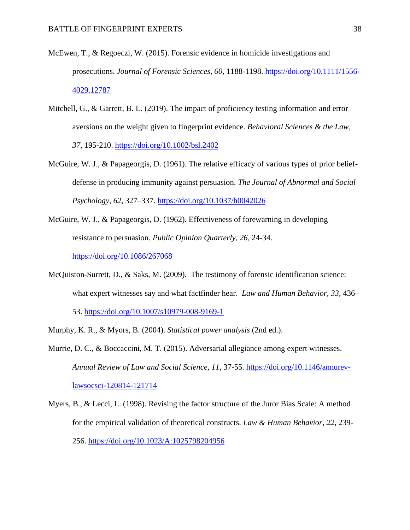- McEwen, T., & Regoeczi, W. (2015). Forensic evidence in homicide investigations and prosecutions. *Journal of Forensic Sciences*, *60*, 1188-1198. [https://doi.org/10.1111/1556-](https://doi.org/10.1111/1556-4029.12787) [4029.12787](https://doi.org/10.1111/1556-4029.12787)
- Mitchell, G., & Garrett, B. L. (2019). The impact of proficiency testing information and error aversions on the weight given to fingerprint evidence. *Behavioral Sciences & the Law*, *37*, 195-210. <https://doi.org/10.1002/bsl.2402>
- McGuire, W. J., & Papageorgis, D. (1961). The relative efficacy of various types of prior beliefdefense in producing immunity against persuasion. *The Journal of Abnormal and Social Psychology, 62*, 327–337. [https://doi.org/10.1037/h0042026](https://psycnet.apa.org/doi/10.1037/h0042026)
- McGuire, W. J., & Papageorgis, D. (1962). Effectiveness of forewarning in developing resistance to persuasion. *Public Opinion Quarterly*, *26*, 24-34. <https://doi.org/10.1086/267068>
- McQuiston-Surrett, D., & Saks, M. (2009). The testimony of forensic identification science: what expert witnesses say and what factfinder hear. *Law and Human Behavior*, *33*, 436– 53. [https://doi.org/10.1007/s10979-008-9169-1](https://psycnet.apa.org/doi/10.1007/s10979-008-9169-1)
- Murphy, K. R., & Myors, B. (2004). *Statistical power analysis* (2nd ed.).
- Murrie, D. C., & Boccaccini, M. T. (2015). Adversarial allegiance among expert witnesses. *Annual Review of Law and Social Science*, *11*, 37-55. [https://doi.org/10.1146/annurev](https://doi.org/10.1146/annurev-lawsocsci-120814-121714)[lawsocsci-120814-121714](https://doi.org/10.1146/annurev-lawsocsci-120814-121714)
- Myers, B., & Lecci, L. (1998). Revising the factor structure of the Juror Bias Scale: A method for the empirical validation of theoretical constructs. *Law & Human Behavior*, *22*, 239- 256. [https://doi.org/10.1023/A:1025798204956](https://psycnet.apa.org/doi/10.1023/A:1025798204956)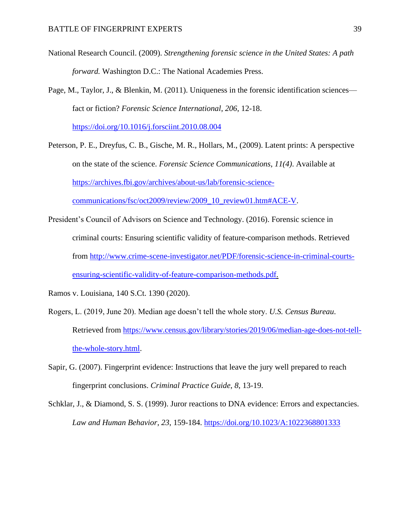- National Research Council. (2009). *Strengthening forensic science in the United States: A path forward.* Washington D.C.: The National Academies Press.
- Page, M., Taylor, J., & Blenkin, M. (2011). Uniqueness in the forensic identification sciences fact or fiction? *Forensic Science International*, *206*, 12-18.

<https://doi.org/10.1016/j.forsciint.2010.08.004>

- Peterson, P. E., Dreyfus, C. B., Gische, M. R., Hollars, M., (2009). Latent prints: A perspective on the state of the science. *Forensic Science Communications*, *11(4)*. Available at [https://archives.fbi.gov/archives/about-us/lab/forensic-science](https://archives.fbi.gov/archives/about-us/lab/forensic-science-communications/fsc/oct2009/review/2009_10_review01.htm%23ACE-V)[communications/fsc/oct2009/review/2009\\_10\\_review01.htm#ACE-V.](https://archives.fbi.gov/archives/about-us/lab/forensic-science-communications/fsc/oct2009/review/2009_10_review01.htm%23ACE-V)
- President's Council of Advisors on Science and Technology. (2016). Forensic science in criminal courts: Ensuring scientific validity of feature-comparison methods. Retrieved from [http://www.crime-scene-investigator.net/PDF/forensic-science-in-criminal-courts](http://www.crime-scene-investigator.net/PDF/forensic-science-in-criminal-courts-ensuring-scientific-validity-of-feature-comparison-methods.pdf)[ensuring-scientific-validity-of-feature-comparison-methods.pdf.](http://www.crime-scene-investigator.net/PDF/forensic-science-in-criminal-courts-ensuring-scientific-validity-of-feature-comparison-methods.pdf)

Ramos v. Louisiana, 140 S.Ct. 1390 (2020).

- Rogers, L. (2019, June 20). Median age doesn't tell the whole story. *U.S. Census Bureau*. Retrieved from [https://www.census.gov/library/stories/2019/06/median-age-does-not-tell](https://www.census.gov/library/stories/2019/06/median-age-does-not-tell-the-whole-story.html)[the-whole-story.html.](https://www.census.gov/library/stories/2019/06/median-age-does-not-tell-the-whole-story.html)
- Sapir, G. (2007). Fingerprint evidence: Instructions that leave the jury well prepared to reach fingerprint conclusions. *Criminal Practice Guide*, *8*, 13-19.
- Schklar, J., & Diamond, S. S. (1999). Juror reactions to DNA evidence: Errors and expectancies. *Law and Human Behavior*, *23*, 159-184. [https://doi.org/10.1023/A:1022368801333](https://psycnet.apa.org/doi/10.1023/A:1022368801333)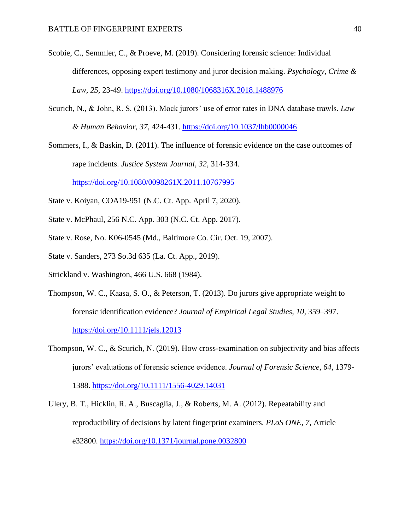- Scobie, C., Semmler, C., & Proeve, M. (2019). Considering forensic science: Individual differences, opposing expert testimony and juror decision making. *Psychology, Crime & Law*, *25*, 23-49. [https://doi.org/10.1080/1068316X.2018.1488976](https://psycnet.apa.org/doi/10.1080/1068316X.2018.1488976)
- Scurich, N., & John, R. S. (2013). Mock jurors' use of error rates in DNA database trawls. *Law & Human Behavior*, *37*, 424-431. [https://doi.org/10.1037/lhb0000046](https://psycnet.apa.org/doi/10.1037/lhb0000046)
- Sommers, I., & Baskin, D. (2011). The influence of forensic evidence on the case outcomes of rape incidents. *Justice System Journal*, *32*, 314-334.

<https://doi.org/10.1080/0098261X.2011.10767995>

- State v. Koiyan, COA19-951 (N.C. Ct. App. April 7, 2020).
- State v. McPhaul, 256 N.C. App. 303 (N.C. Ct. App. 2017).
- State v. Rose, No. K06-0545 (Md., Baltimore Co. Cir. Oct. 19, 2007).
- State v. Sanders, 273 So.3d 635 (La. Ct. App., 2019).
- Strickland v. Washington, 466 U.S. 668 (1984).
- Thompson, W. C., Kaasa, S. O., & Peterson, T. (2013). Do jurors give appropriate weight to forensic identification evidence? *Journal of Empirical Legal Studies, 10,* 359–397.

<https://doi.org/10.1111/jels.12013>

- Thompson, W. C., & Scurich, N. (2019). How cross-examination on subjectivity and bias affects jurors' evaluations of forensic science evidence. *Journal of Forensic Science*, *64*, 1379- 1388.<https://doi.org/10.1111/1556-4029.14031>
- Ulery, B. T., Hicklin, R. A., Buscaglia, J., & Roberts, M. A. (2012). Repeatability and reproducibility of decisions by latent fingerprint examiners. *PLoS ONE, 7*, Article e32800. <https://doi.org/10.1371/journal.pone.0032800>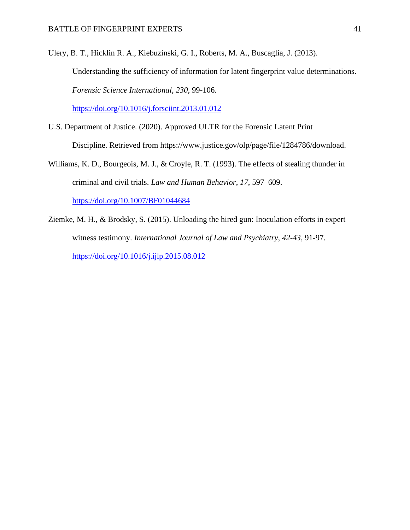Ulery, B. T., Hicklin R. A., Kiebuzinski, G. I., Roberts, M. A., Buscaglia, J. (2013). Understanding the sufficiency of information for latent fingerprint value determinations. *Forensic Science International*, *230*, 99-106.

<https://doi.org/10.1016/j.forsciint.2013.01.012>

- U.S. Department of Justice. (2020). Approved ULTR for the Forensic Latent Print Discipline. Retrieved from https://www.justice.gov/olp/page/file/1284786/download.
- Williams, K. D., Bourgeois, M. J., & Croyle, R. T. (1993). The effects of stealing thunder in criminal and civil trials. *Law and Human Behavior*, *17*, 597–609. [https://doi.org/10.1007/BF01044684](https://psycnet.apa.org/doi/10.1007/BF01044684)
- Ziemke, M. H., & Brodsky, S. (2015). Unloading the hired gun: Inoculation efforts in expert witness testimony. *International Journal of Law and Psychiatry*, *42-43*, 91-97. <https://doi.org/10.1016/j.ijlp.2015.08.012>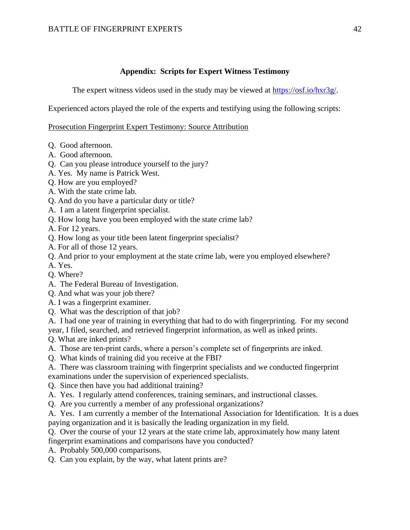# **Appendix: Scripts for Expert Witness Testimony**

The expert witness videos used in the study may be viewed at [https://osf.io/hxr3g/.](https://osf.io/hxr3g/)

Experienced actors played the role of the experts and testifying using the following scripts:

# Prosecution Fingerprint Expert Testimony: Source Attribution

- Q. Good afternoon.
- A. Good afternoon.
- Q. Can you please introduce yourself to the jury?
- A. Yes. My name is Patrick West.
- Q. How are you employed?
- A. With the state crime lab.
- Q. And do you have a particular duty or title?
- A. I am a latent fingerprint specialist.
- Q. How long have you been employed with the state crime lab?
- A. For 12 years.
- Q. How long as your title been latent fingerprint specialist?
- A. For all of those 12 years.
- Q. And prior to your employment at the state crime lab, were you employed elsewhere?
- A. Yes.
- Q. Where?
- A. The Federal Bureau of Investigation.
- Q. And what was your job there?
- A. I was a fingerprint examiner.
- Q. What was the description of that job?
- A. I had one year of training in everything that had to do with fingerprinting. For my second year, I filed, searched, and retrieved fingerprint information, as well as inked prints.

Q. What are inked prints?

- A. Those are ten-print cards, where a person's complete set of fingerprints are inked.
- Q. What kinds of training did you receive at the FBI?
- A. There was classroom training with fingerprint specialists and we conducted fingerprint examinations under the supervision of experienced specialists.
- Q. Since then have you had additional training?
- A. Yes. I regularly attend conferences, training seminars, and instructional classes.
- Q. Are you currently a member of any professional organizations?
- A. Yes. I am currently a member of the International Association for Identification. It is a dues paying organization and it is basically the leading organization in my field.
- Q. Over the course of your 12 years at the state crime lab, approximately how many latent
- fingerprint examinations and comparisons have you conducted?
- A. Probably 500,000 comparisons.
- Q. Can you explain, by the way, what latent prints are?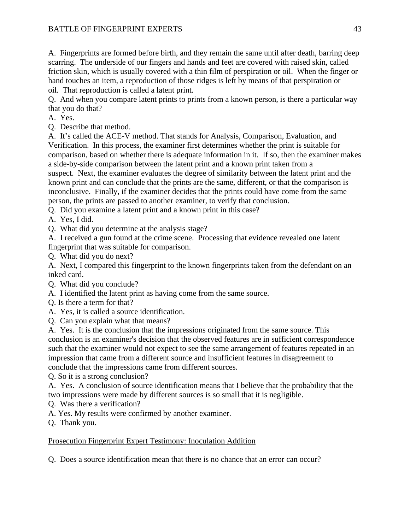A. Fingerprints are formed before birth, and they remain the same until after death, barring deep scarring. The underside of our fingers and hands and feet are covered with raised skin, called friction skin, which is usually covered with a thin film of perspiration or oil. When the finger or hand touches an item, a reproduction of those ridges is left by means of that perspiration or oil. That reproduction is called a latent print.

Q. And when you compare latent prints to prints from a known person, is there a particular way that you do that?

- A. Yes.
- Q. Describe that method.

A. It's called the ACE-V method. That stands for Analysis, Comparison, Evaluation, and Verification. In this process, the examiner first determines whether the print is suitable for comparison, based on whether there is adequate information in it. If so, then the examiner makes a side-by-side comparison between the latent print and a known print taken from a suspect. Next, the examiner evaluates the degree of similarity between the latent print and the known print and can conclude that the prints are the same, different, or that the comparison is inconclusive. Finally, if the examiner decides that the prints could have come from the same person, the prints are passed to another examiner, to verify that conclusion.

Q. Did you examine a latent print and a known print in this case?

- A. Yes, I did.
- Q. What did you determine at the analysis stage?

A. I received a gun found at the crime scene. Processing that evidence revealed one latent fingerprint that was suitable for comparison.

Q. What did you do next?

A. Next, I compared this fingerprint to the known fingerprints taken from the defendant on an inked card.

- Q. What did you conclude?
- A. I identified the latent print as having come from the same source.
- Q. Is there a term for that?
- A. Yes, it is called a source identification.
- Q. Can you explain what that means?

A. Yes. It is the conclusion that the impressions originated from the same source. This conclusion is an examiner's decision that the observed features are in sufficient correspondence such that the examiner would not expect to see the same arrangement of features repeated in an impression that came from a different source and insufficient features in disagreement to conclude that the impressions came from different sources.

Q. So it is a strong conclusion?

A. Yes. A conclusion of source identification means that I believe that the probability that the two impressions were made by different sources is so small that it is negligible.

- Q. Was there a verification?
- A. Yes. My results were confirmed by another examiner.
- Q. Thank you.

# Prosecution Fingerprint Expert Testimony: Inoculation Addition

Q. Does a source identification mean that there is no chance that an error can occur?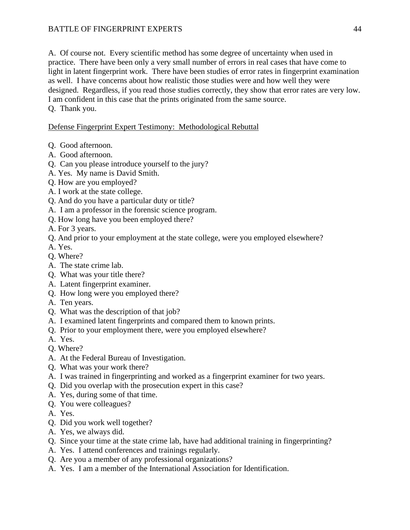A. Of course not. Every scientific method has some degree of uncertainty when used in practice. There have been only a very small number of errors in real cases that have come to light in latent fingerprint work. There have been studies of error rates in fingerprint examination as well. I have concerns about how realistic those studies were and how well they were designed. Regardless, if you read those studies correctly, they show that error rates are very low. I am confident in this case that the prints originated from the same source. Q. Thank you.

# Defense Fingerprint Expert Testimony: Methodological Rebuttal

- Q. Good afternoon.
- A. Good afternoon.
- Q. Can you please introduce yourself to the jury?
- A. Yes. My name is David Smith.
- Q. How are you employed?
- A. I work at the state college.
- Q. And do you have a particular duty or title?
- A. I am a professor in the forensic science program.
- Q. How long have you been employed there?
- A. For 3 years.
- Q. And prior to your employment at the state college, were you employed elsewhere?
- A. Yes.
- Q. Where?
- A. The state crime lab.
- Q. What was your title there?
- A. Latent fingerprint examiner.
- Q. How long were you employed there?
- A. Ten years.
- Q. What was the description of that job?
- A. I examined latent fingerprints and compared them to known prints.
- Q. Prior to your employment there, were you employed elsewhere?
- A. Yes.
- Q. Where?
- A. At the Federal Bureau of Investigation.
- Q. What was your work there?
- A. I was trained in fingerprinting and worked as a fingerprint examiner for two years.
- Q. Did you overlap with the prosecution expert in this case?
- A. Yes, during some of that time.
- Q. You were colleagues?
- A. Yes.
- Q. Did you work well together?
- A. Yes, we always did.
- Q. Since your time at the state crime lab, have had additional training in fingerprinting?
- A. Yes. I attend conferences and trainings regularly.
- Q. Are you a member of any professional organizations?
- A. Yes. I am a member of the International Association for Identification.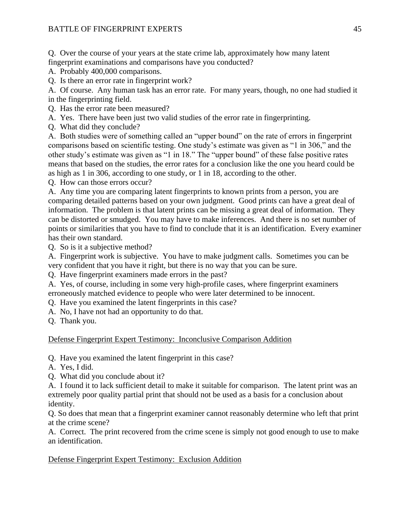Q. Over the course of your years at the state crime lab, approximately how many latent fingerprint examinations and comparisons have you conducted?

A. Probably 400,000 comparisons.

Q. Is there an error rate in fingerprint work?

A. Of course. Any human task has an error rate. For many years, though, no one had studied it in the fingerprinting field.

Q. Has the error rate been measured?

A. Yes. There have been just two valid studies of the error rate in fingerprinting.

Q. What did they conclude?

A. Both studies were of something called an "upper bound" on the rate of errors in fingerprint comparisons based on scientific testing. One study's estimate was given as "1 in 306," and the other study's estimate was given as "1 in 18." The "upper bound" of these false positive rates means that based on the studies, the error rates for a conclusion like the one you heard could be as high as 1 in 306, according to one study, or 1 in 18, according to the other.

Q. How can those errors occur?

A. Any time you are comparing latent fingerprints to known prints from a person, you are comparing detailed patterns based on your own judgment. Good prints can have a great deal of information. The problem is that latent prints can be missing a great deal of information. They can be distorted or smudged. You may have to make inferences. And there is no set number of points or similarities that you have to find to conclude that it is an identification. Every examiner has their own standard.

Q. So is it a subjective method?

A. Fingerprint work is subjective. You have to make judgment calls. Sometimes you can be very confident that you have it right, but there is no way that you can be sure.

Q. Have fingerprint examiners made errors in the past?

A. Yes, of course, including in some very high-profile cases, where fingerprint examiners erroneously matched evidence to people who were later determined to be innocent.

- Q. Have you examined the latent fingerprints in this case?
- A. No, I have not had an opportunity to do that.

Q. Thank you.

# Defense Fingerprint Expert Testimony: Inconclusive Comparison Addition

Q. Have you examined the latent fingerprint in this case?

- A. Yes, I did.
- Q. What did you conclude about it?

A. I found it to lack sufficient detail to make it suitable for comparison. The latent print was an extremely poor quality partial print that should not be used as a basis for a conclusion about identity.

Q. So does that mean that a fingerprint examiner cannot reasonably determine who left that print at the crime scene?

A. Correct. The print recovered from the crime scene is simply not good enough to use to make an identification.

Defense Fingerprint Expert Testimony: Exclusion Addition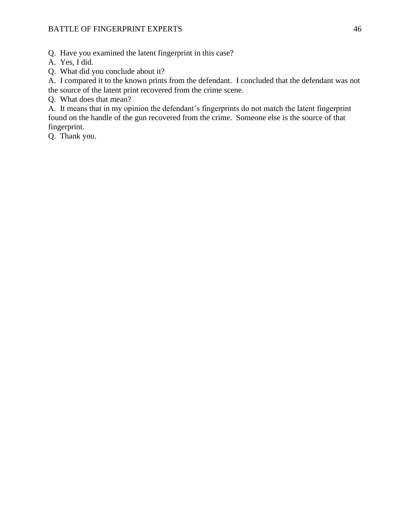Q. Have you examined the latent fingerprint in this case?

A. Yes, I did.

Q. What did you conclude about it?

A. I compared it to the known prints from the defendant. I concluded that the defendant was not the source of the latent print recovered from the crime scene.

Q. What does that mean?

A. It means that in my opinion the defendant's fingerprints do not match the latent fingerprint found on the handle of the gun recovered from the crime. Someone else is the source of that fingerprint.

Q. Thank you.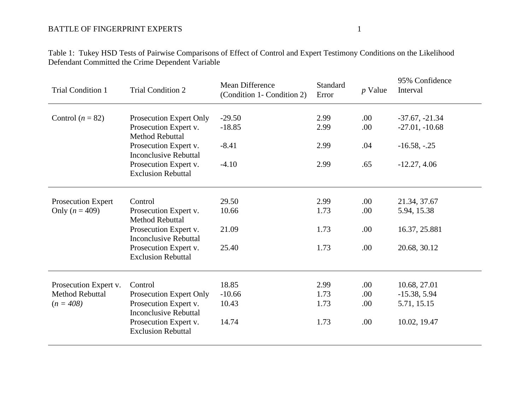Table 1: Tukey HSD Tests of Pairwise Comparisons of Effect of Control and Expert Testimony Conditions on the Likelihood Defendant Committed the Crime Dependent Variable

| <b>Trial Condition 1</b>                 | <b>Trial Condition 2</b>                                   | Mean Difference<br>(Condition 1- Condition 2) | Standard<br>Error | $p$ Value   | 95% Confidence<br>Interval  |
|------------------------------------------|------------------------------------------------------------|-----------------------------------------------|-------------------|-------------|-----------------------------|
| Control $(n = 82)$                       | Prosecution Expert Only                                    | $-29.50$                                      | 2.99              | .00         | $-37.67, -21.34$            |
|                                          | Prosecution Expert v.<br><b>Method Rebuttal</b>            | $-18.85$                                      | 2.99              | .00         | $-27.01, -10.68$            |
|                                          | Prosecution Expert v.<br><b>Inconclusive Rebuttal</b>      | $-8.41$                                       | 2.99              | .04         | $-16.58, -25$               |
|                                          | Prosecution Expert v.<br><b>Exclusion Rebuttal</b>         | $-4.10$                                       | 2.99              | .65         | $-12.27, 4.06$              |
|                                          |                                                            |                                               |                   |             |                             |
| Prosecution Expert<br>Only ( $n = 409$ ) | Control<br>Prosecution Expert v.<br><b>Method Rebuttal</b> | 29.50<br>10.66                                | 2.99<br>1.73      | .00.<br>.00 | 21.34, 37.67<br>5.94, 15.38 |
|                                          | Prosecution Expert v.<br><b>Inconclusive Rebuttal</b>      | 21.09                                         | 1.73              | .00         | 16.37, 25.881               |
|                                          | Prosecution Expert v.<br><b>Exclusion Rebuttal</b>         | 25.40                                         | 1.73              | .00         | 20.68, 30.12                |
| Prosecution Expert v.                    | Control                                                    | 18.85                                         | 2.99              | .00         | 10.68, 27.01                |
| <b>Method Rebuttal</b>                   | Prosecution Expert Only                                    | $-10.66$                                      | 1.73              | .00         | $-15.38, 5.94$              |
| $(n = 408)$                              | Prosecution Expert v.<br><b>Inconclusive Rebuttal</b>      | 10.43                                         | 1.73              | .00         | 5.71, 15.15                 |
|                                          | Prosecution Expert v.<br><b>Exclusion Rebuttal</b>         | 14.74                                         | 1.73              | .00         | 10.02, 19.47                |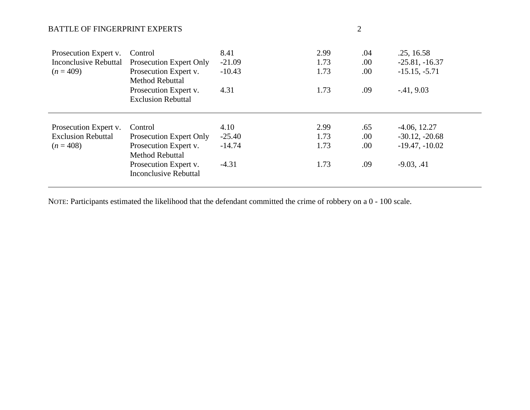| Prosecution Expert v.<br><b>Inconclusive Rebuttal</b><br>$(n = 409)$ | Control<br>Prosecution Expert Only<br>Prosecution Expert v.<br><b>Method Rebuttal</b> | 8.41<br>$-21.09$<br>$-10.43$ | 2.99<br>1.73<br>1.73 | .04<br>.00.<br>.00. | .25, 16.58<br>$-25.81, -16.37$<br>$-15.15, -5.71$ |
|----------------------------------------------------------------------|---------------------------------------------------------------------------------------|------------------------------|----------------------|---------------------|---------------------------------------------------|
|                                                                      | Prosecution Expert v.<br><b>Exclusion Rebuttal</b>                                    | 4.31                         | 1.73                 | .09                 | $-41, 9.03$                                       |
|                                                                      |                                                                                       |                              |                      |                     |                                                   |
| Prosecution Expert v.                                                | Control                                                                               | 4.10                         | 2.99                 | .65                 | $-4.06, 12.27$                                    |
| <b>Exclusion Rebuttal</b>                                            | Prosecution Expert Only                                                               | $-25.40$                     | 1.73                 | .00                 | $-30.12, -20.68$                                  |
| $(n = 408)$                                                          | Prosecution Expert v.<br><b>Method Rebuttal</b>                                       | $-14.74$                     | 1.73                 | .00.                | $-19.47, -10.02$                                  |
|                                                                      | Prosecution Expert v.<br><b>Inconclusive Rebuttal</b>                                 | $-4.31$                      | 1.73                 | .09                 | $-9.03, .41$                                      |

NOTE: Participants estimated the likelihood that the defendant committed the crime of robbery on a 0 - 100 scale.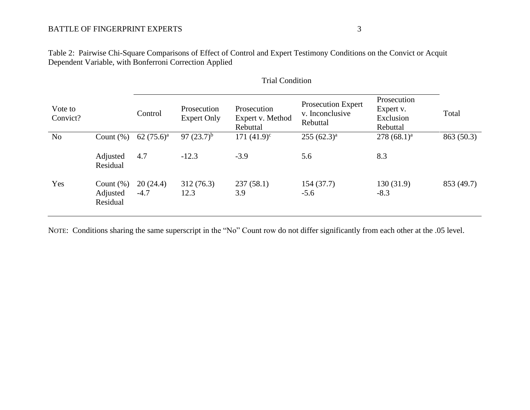Table 2: Pairwise Chi-Square Comparisons of Effect of Control and Expert Testimony Conditions on the Convict or Acquit Dependent Variable, with Bonferroni Correction Applied

| Vote to<br>Convict? |                                      | Control            | Prosecution<br><b>Expert Only</b> | Prosecution<br>Expert v. Method<br>Rebuttal | <b>Prosecution Expert</b><br>v. Inconclusive<br>Rebuttal | Prosecution<br>Expert v.<br>Exclusion<br>Rebuttal | Total      |
|---------------------|--------------------------------------|--------------------|-----------------------------------|---------------------------------------------|----------------------------------------------------------|---------------------------------------------------|------------|
| N <sub>o</sub>      | Count $(\%)$                         | 62 $(75.6)^a$      | 97 $(23.7)^{b}$                   | 171 $(41.9)^c$                              | $255 (62.3)^a$                                           | $278(68.1)^a$                                     | 863 (50.3) |
|                     | Adjusted<br>Residual                 | 4.7                | $-12.3$                           | $-3.9$                                      | 5.6                                                      | 8.3                                               |            |
| Yes                 | Count $(\%)$<br>Adjusted<br>Residual | 20(24.4)<br>$-4.7$ | 312(76.3)<br>12.3                 | 237(58.1)<br>3.9                            | 154(37.7)<br>$-5.6$                                      | 130(31.9)<br>$-8.3$                               | 853 (49.7) |

# Trial Condition

NOTE: Conditions sharing the same superscript in the "No" Count row do not differ significantly from each other at the .05 level.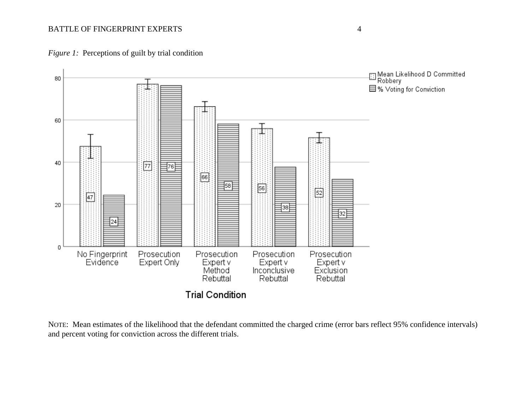*Figure 1:* Perceptions of guilt by trial condition



NOTE: Mean estimates of the likelihood that the defendant committed the charged crime (error bars reflect 95% confidence intervals) and percent voting for conviction across the different trials.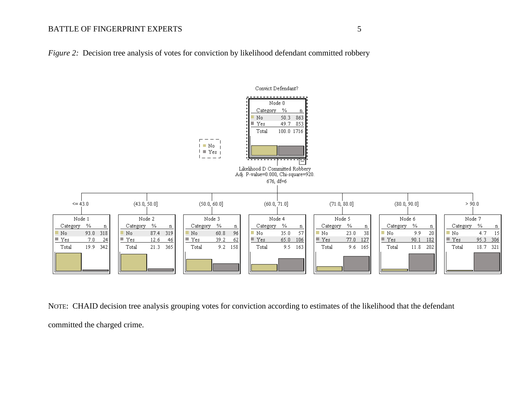



NOTE: CHAID decision tree analysis grouping votes for conviction according to estimates of the likelihood that the defendant committed the charged crime.